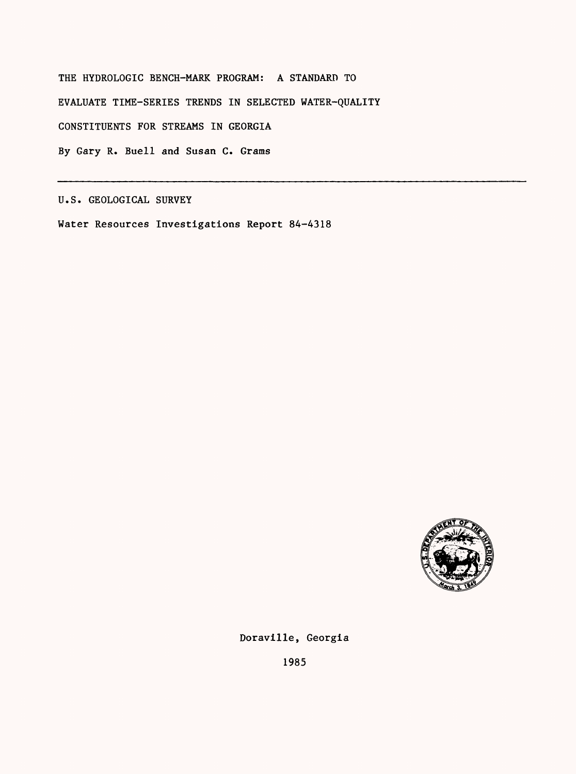THE HYDROLOGIC BENCH-MARK PROGRAM: A STANDARD TO EVALUATE TIME-SERIES TRENDS IN SELECTED WATER-QUALITY CONSTITUENTS FOR STREAMS IN GEORGIA By Gary R. Buell and Susan C. Grams

U.S. GEOLOGICAL SURVEY

Water Resources Investigations Report 84-4318



Doraville, Georgia

1985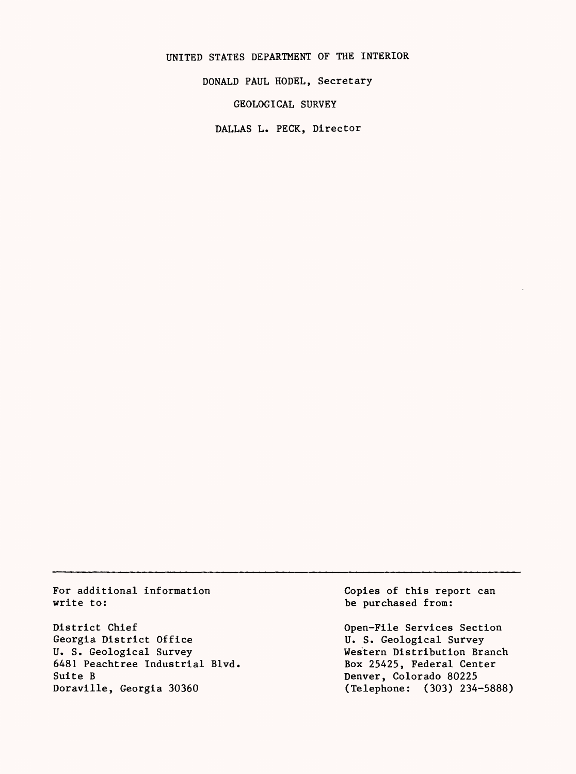UNITED STATES DEPARTMENT OF THE INTERIOR

DONALD PAUL HODEL, Secretary

GEOLOGICAL SURVEY

DALLAS L. PECK, Director

For additional information write to:

District Chief Georgia District Office U. S. Geological Survey 6481 Peachtree Industrial Blvd. Suite B Doraville, Georgia 30360

Copies of this report can be purchased from:

Open-File Services Section U. S. Geological Survey Western Distribution Branch Box 25425, Federal Center Denver, Colorado 80225 (Telephone: (303) 234-5888)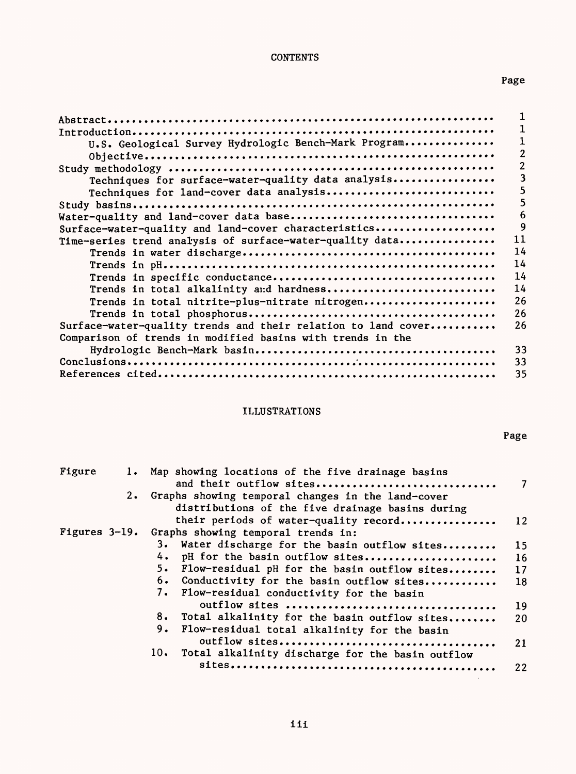# **CONTENTS**

# Page

| U.S. Geological Survey Hydrologic Bench-Mark Program          |    |
|---------------------------------------------------------------|----|
|                                                               |    |
|                                                               |    |
| Techniques for surface-water-quality data analysis            | ٦  |
| Techniques for land-cover data analysis                       | ר  |
|                                                               | ר  |
|                                                               | 6  |
| Water-quality and land-cover data base                        | 9  |
| Surface-water-quality and land-cover characteristics          |    |
| Time-series trend analysis of surface-water-quality data      | 11 |
|                                                               | 14 |
|                                                               | 14 |
|                                                               | 14 |
| Trends in total alkalinity and hardness                       | 14 |
| Trends in total nitrite-plus-nitrate nitrogen                 | 26 |
|                                                               | 26 |
| Surface-water-quality trends and their relation to land cover | 26 |
| Comparison of trends in modified basins with trends in the    |    |
|                                                               | 33 |
|                                                               | 33 |
|                                                               |    |
|                                                               | 35 |

# ILLUSTRATIONS

Page

| Figure        |           | Map showing locations of the five drainage basins<br>and their outflow sites                          | $\mathcal{I}$   |
|---------------|-----------|-------------------------------------------------------------------------------------------------------|-----------------|
|               | $2 \cdot$ | Graphs showing temporal changes in the land-cover<br>distributions of the five drainage basins during |                 |
|               |           | their periods of water-quality record                                                                 | 12              |
| Figures 3-19. |           | Graphs showing temporal trends in:                                                                    |                 |
|               |           | 3. Water discharge for the basin outflow sites                                                        | 15              |
|               |           | pH for the basin outflow sites                                                                        | 16              |
|               |           | 5.<br>Flow-residual pH for the basin outflow sites                                                    | 17 <sup>2</sup> |
|               |           | 6.<br>Conductivity for the basin outflow sites                                                        | 18              |
|               |           | 7.<br>Flow-residual conductivity for the basin                                                        |                 |
|               |           | outflow sites                                                                                         | 19              |
|               |           | 8. Total alkalinity for the basin outflow sites                                                       | 20              |
|               |           | 9.<br>Flow-residual total alkalinity for the basin                                                    | 21              |
|               |           | 10.<br>Total alkalinity discharge for the basin outflow                                               |                 |
|               |           |                                                                                                       | $22\,$          |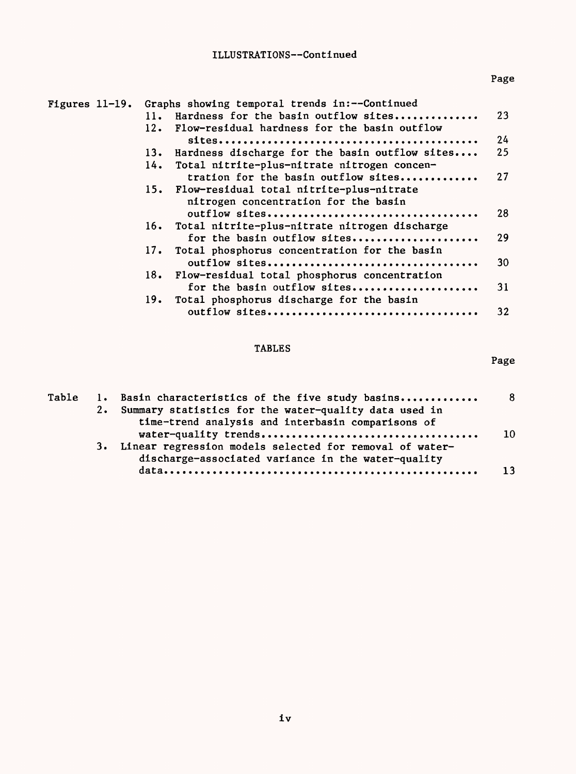# ILLUSTRATIONS -- Continued

| Figures $11-19$ . | Graphs showing temporal trends in:--Continued         |    |
|-------------------|-------------------------------------------------------|----|
|                   | Hardness for the basin outflow sites<br>11.           | 23 |
|                   | 12. Flow-residual hardness for the basin outflow      |    |
|                   |                                                       | 24 |
|                   | Hardness discharge for the basin outflow sites<br>13. | 25 |
|                   | Total nitrite-plus-nitrate nitrogen concen-<br>14.    |    |
|                   | tration for the basin outflow sites                   | 27 |
|                   | 15. Flow-residual total nitrite-plus-nitrate          |    |
|                   | nitrogen concentration for the basin                  |    |
|                   |                                                       | 28 |
|                   | 16. Total nitrite-plus-nitrate nitrogen discharge     |    |
|                   | for the basin outflow sites                           | 29 |
|                   | 17. Total phosphorus concentration for the basin      |    |
|                   |                                                       | 30 |
|                   | Flow-residual total phosphorus concentration<br>18.   |    |
|                   | for the basin outflow sites                           | 31 |
|                   | Total phosphorus discharge for the basin<br>19.       |    |
|                   |                                                       | 32 |
|                   |                                                       |    |

# TABLES

# Page

| Table | 1. Basin characteristics of the five study basins                                                                |     |
|-------|------------------------------------------------------------------------------------------------------------------|-----|
|       | 2. Summary statistics for the water-quality data used in                                                         |     |
|       | time-trend analysis and interbasin comparisons of                                                                |     |
|       |                                                                                                                  | -10 |
|       | 3. Linear regression models selected for removal of water-<br>discharge-associated variance in the water-quality |     |
|       |                                                                                                                  | 13  |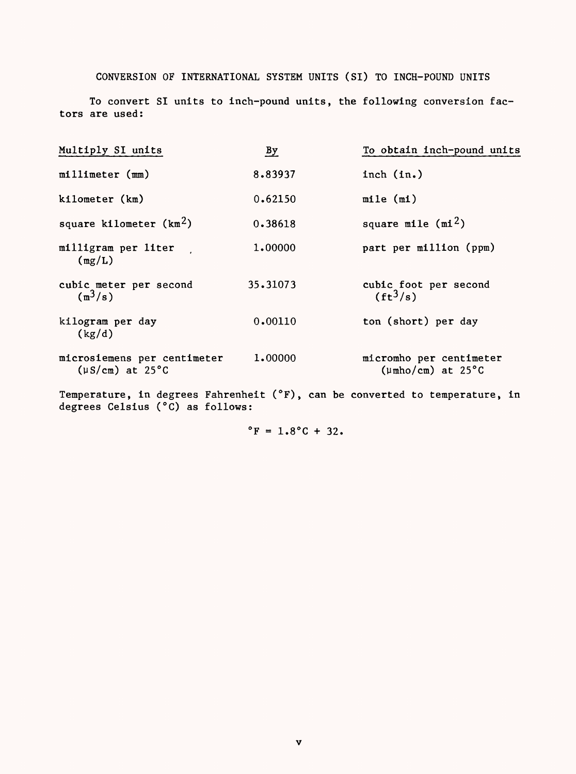## CONVERSION OF INTERNATIONAL SYSTEM UNITS (SI) TO INCH-POUND UNITS

To convert SI units to inch-pound units, the following conversion factors are used:

| $\frac{By}{\sqrt{2}}$ | To obtain inch-pound units                               |
|-----------------------|----------------------------------------------------------|
| 8.83937               | inch (in.)                                               |
| 0.62150               | mile (m1)                                                |
| 0.38618               | square mile $(mi^2)$                                     |
| 1,00000               | part per million (ppm)                                   |
| 35.31073              | cubic foot per second<br>$(ft^3/s)$                      |
| 0.00110               | ton (short) per day                                      |
| 1,00000               | micromho per centimeter<br>$(\mu \text{mho/cm})$ at 25°C |
|                       |                                                          |

Temperature, in degrees Fahrenheit (°F), can be degrees Celsius (°C) as follows: converted to temperature, in

 $^{\circ}$ F = 1.8°C + 32.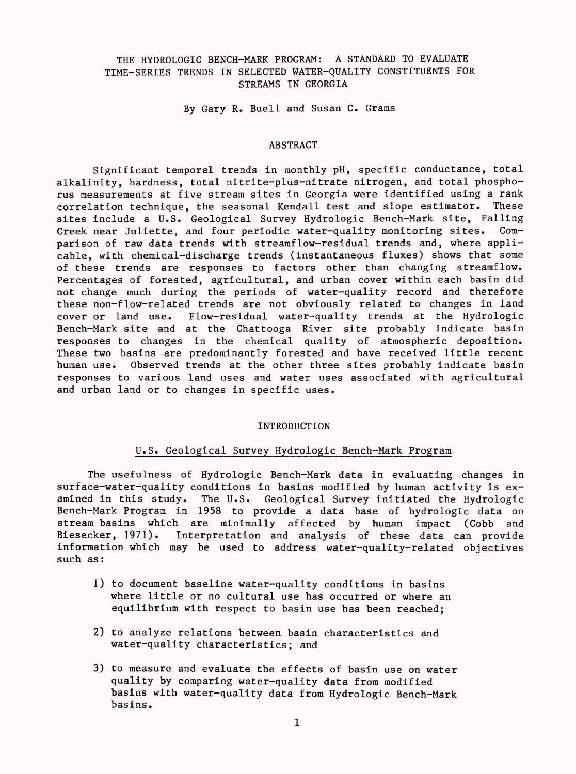## THE HYDROLOGIC BENCH-MARK PROGRAM: A STANDARD TO EVALUATE TIME-SERIES TRENDS IN SELECTED WATER-QUALITY CONSTITUENTS FOR STREAMS IN GEORGIA

By Gary R. Buell and Susan C. Grams

#### ABSTRACT

Significant temporal trends in monthly pH, specific conductance, total alkalinity, hardness, total nitrite-plus-nitrate nitrogen, and total phosphorus measurements at five stream sites in Georgia were identified using a rank correlation technique, the seasonal Kendall test and slope estimator. These sites include a U.S. Geological Survey Hydrologic Bench-Mark site, Falling Creek near Juliette, and four periodic water-quality monitoring sites. Comparison of raw data trends with streamflow-residual trends and, where applicable, with chemical-discharge trends (instantaneous fluxes) shows that some of these trends are responses to factors other than changing streamflow. Percentages of forested, agricultural, and urban cover within each basin did not change much during the periods of water-quality record and therefore these non-flow-related trends are not obviously related to changes in land cover or land use. Flow-residual water-quality trends at the Hydrologic Bench-Mark site and at the Chattooga River site probably indicate basin responses to changes in the chemical quality of atmospheric deposition. These two basins are predominantly forested and have received little recent human use. Observed trends at the other three sites probably indicate basin responses to various land uses and water uses associated with agricultural and urban land or to changes in specific uses.

#### INTRODUCTION

### U.S. Geological Survey Hydrologic Bench-Mark Program

The usefulness of Hydrologic Bench-Mark data in evaluating changes in surface-water-quality conditions in basins modified by human activity is examined in this study. The U.S. Geological Survey initiated the Hydrologic Bench-Mark Program in 1958 to provide a data base of hydrologic data on stream basins which are minimally affected by human impact (Cobb and Biesecker, 1971). Interpretation and analysis of these data can provide information which may be used to address water-quality-related objectives such as:

- 1) to document baseline water-quality conditions in basins where little or no cultural use has occurred or where an equilibrium with respect to basin use has been reached;
- 2) to analyze relations between basin characteristics and water-quality characteristics; and
- 3) to measure and evaluate the effects of basin use on water quality by comparing water-quality data from modified basins with water-quality data from Hydrologic Bench-Mark basins.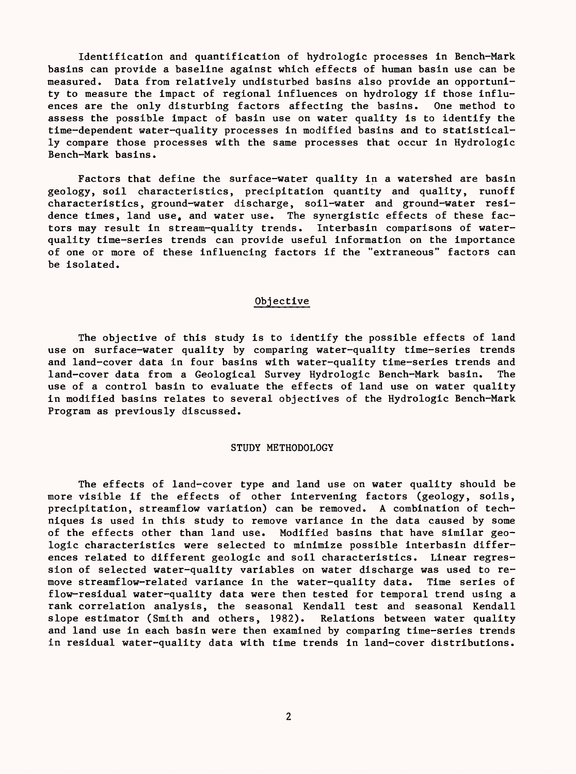Identification and quantification of hydrologic processes in Bench-Mark basins can provide a baseline against which effects of human basin use can be measured. Data from relatively undisturbed basins also provide an opportunity to measure the impact of regional influences on hydrology if those influences are the only disturbing factors affecting the basins. One method to assess the possible impact of basin use on water quality is to identify the time-dependent water-quality processes in modified basins and to statistically compare those processes with the same processes that occur in Hydrologic Bench-Mark basins.

Factors that define the surface-water quality in a watershed are basin geology, soil characteristics, precipitation quantity and quality, runoff characteristics, ground-water discharge, soil-water and ground-water residence times, land use, and water use. The synergistic effects of these factors may result in stream-quality trends. Interbasin comparisons of waterquality time-series trends can provide useful information on the importance of one or more of these influencing factors if the "extraneous" factors can be isolated.

#### Objective

The objective of this study is to identify the possible effects of land use on surface-water quality by comparing water-quality time-series trends and land-cover data in four basins with water-quality time-series trends and land-cover data from a Geological Survey Hydrologic Bench-Mark basin. The use of a control basin to evaluate the effects of land use on water quality in modified basins relates to several objectives of the Hydrologic Bench-Mark Program as previously discussed.

#### STUDY METHODOLOGY

The effects of land-cover type and land use on water quality should be more visible if the effects of other intervening factors (geology, soils, precipitation, streamflow variation) can be removed. A combination of techniques is used in this study to remove variance in the data caused by some of the effects other than land use. Modified basins that have similar geologic characteristics were selected to minimize possible interbasin differences related to different geologic and soil characteristics. Linear regression of selected water-quality variables on water discharge was used to remove streamflow-related variance in the water-quality data. Time series of flow-residual water-quality data were then tested for temporal trend using a rank correlation analysis, the seasonal Kendall test and seasonal Kendall slope estimator (Smith and others, 1982). Relations between water quality and land use in each basin were then examined by comparing time-series trends in residual water-quality data with time trends in land-cover distributions.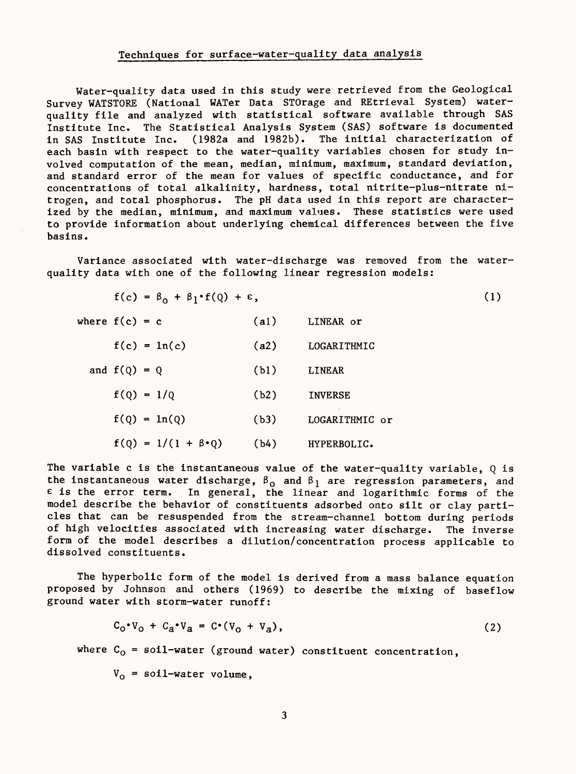#### Techniques for surface-water-quality data analysis

Water-quality data used in this study were retrieved from the Geological Survey WATSTORE (National WATer Data STOrage and REtrieval System) waterquality file and analyzed with statistical software available through SAS Institute Inc. The Statistical Analysis System (SAS) software is documented in SAS Institute Inc. (1982a and 1982b). The initial characterization of each basin with respect to the water-quality variables chosen for study involved computation of the mean, median, minimum, maximum, standard deviation, and standard error of the mean for values of specific conductance, and for concentrations of total alkalinity, hardness, total nitrite-plus-nitrate nitrogen, and total phosphorus. The pH data used in this report are characterized by the median, minimum, and maximum values. These statistics were used to provide information about underlying chemical differences between the five basins.

Variance associated with water-discharge was removed from the waterquality data with one of the following linear regression models:

$$
f(c) = \beta_0 + \beta_1 \cdot f(Q) + \varepsilon, \qquad (1)
$$

| where $f(c) = c$ |                |                                | (a1) | LINEAR or      |
|------------------|----------------|--------------------------------|------|----------------|
|                  |                | $f(c) = ln(c)$                 | (a2) | LOGARITHMIC    |
|                  | and $f(Q) = Q$ |                                | (b1) | LINEAR         |
|                  | $f(Q) = 1/Q$   |                                | (b2) | <b>INVERSE</b> |
|                  |                | $f(Q) = ln(Q)$                 | (b3) | LOGARITHMIC or |
|                  |                | $f(Q) = 1/(1 + \beta \cdot Q)$ | (b4) | HYPERBOLIC.    |

The variable c is the instantaneous value of the water-quality variable,  $Q$  is the instantaneous water discharge,  $\beta_0$  and  $\beta_1$  are regression parameters, and  $\epsilon$  is the error term. In general, the linear and logarithmic forms of the model describe the behavior of constituents adsorbed onto silt or clay particles that can be resuspended from the stream-channel bottom during periods of high velocities associated with increasing water discharge. The inverse form of the model describes a dilution/concentration process applicable to dissolved constituents.

The hyperbolic form of the model is derived from a mass balance equation proposed by Johnson and others (1969) to describe the mixing of baseflow ground water with storm-water runoff:

$$
C_0 \cdot V_0 + C_a \cdot V_a = C \cdot (V_0 + V_a), \qquad (2)
$$

where  $C_0$  = soil-water (ground water) constituent concentration,

 $V_{\text{o}}$  = soil-water volume,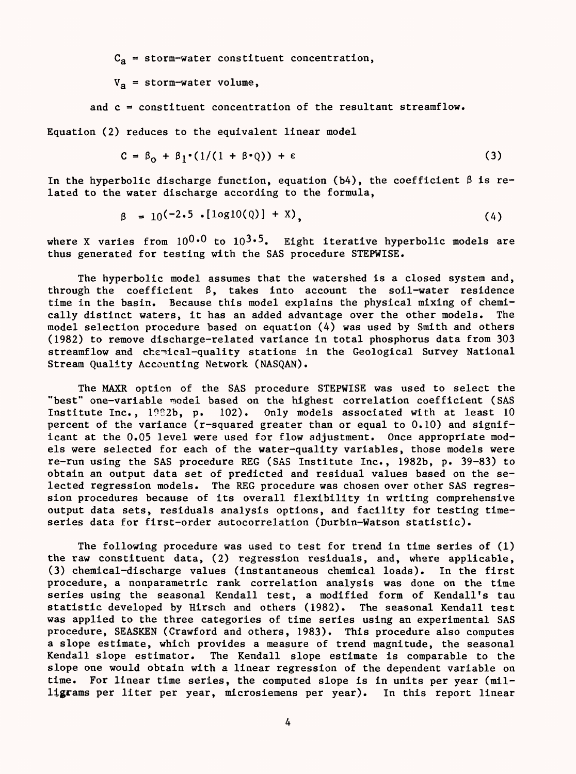$C_a$  = storm-water constituent concentration,

 $V_a$  = storm-water volume,

and c = constituent concentration of the resultant streamflow.

Equation (2) reduces to the equivalent linear model

$$
C = \beta_0 + \beta_1 \cdot (1/(1 + \beta \cdot Q)) + \epsilon
$$
 (3)

In the hyperbolic discharge function, equation (b4), the coefficient  $\beta$  is related to the water discharge according to the formula,

$$
\beta = 10^{(-2.5 \cdot [1og10(Q)] + X)}.
$$
 (4)

where X varies from  $10^{0.0}$  to  $10^{3.5}$ . Eight iterative hyperbolic models are thus generated for testing with the SAS procedure STEPWISE.

The hyperbolic model assumes that the watershed is a closed system and, through the coefficient  $\beta$ , takes into account the soil-water residence time in the basin. Because this model explains the physical mixing of chemically distinct waters, it has an added advantage over the other models. The model selection procedure based on equation (4) was used by Smith and others (1982) to remove discharge-related variance in total phosphorus data from 303 streamflow and chemical-quality stations in the Geological Survey National Stream Quality Accounting Network (NASQAN).

The MAXR option of the SAS procedure STEPWISE was used to select the "best" one-variable model based on the highest correlation coefficient (SAS Institute Inc., 1982b, p. 102). Only models associated with at least 10 percent of the variance (r-squared greater than or equal to 0.10) and significant at the 0.05 level were used for flow adjustment. Once appropriate models were selected for each of the water-quality variables, those models were re-run using the SAS procedure REG (SAS Institute Inc., 1982b, p. 39-83) to obtain an output data set of predicted and residual values based on the selected regression models. The REG procedure was chosen over other SAS regression procedures because of its overall flexibility in writing comprehensive output data sets, residuals analysis options, and facility for testing timeseries data for first-order autocorrelation (Durbin-Watson statistic).

The following procedure was used to test for trend in time series of (1) the raw constituent data, (2) regression residuals, and, where applicable, (3) chemical-discharge values (instantaneous chemical loads). In the first procedure, a nonparametric rank correlation analysis was done on the time series using the seasonal Kendall test, a modified form of Kendall's tau statistic developed by Hirsch and others (1982). The seasonal Kendall test was applied to the three categories of time series using an experimental SAS procedure, SEASKEN (Crawford and others, 1983). This procedure also computes a slope estimate, which provides a measure of trend magnitude, the seasonal Kendall slope estimator. The Kendall slope estimate is comparable to the slope one would obtain with a linear regression of the dependent variable on time. For linear time series, the computed slope is in units per year (milligrams per liter per year, microsiemens per year). In this report linear

 $\frac{1}{4}$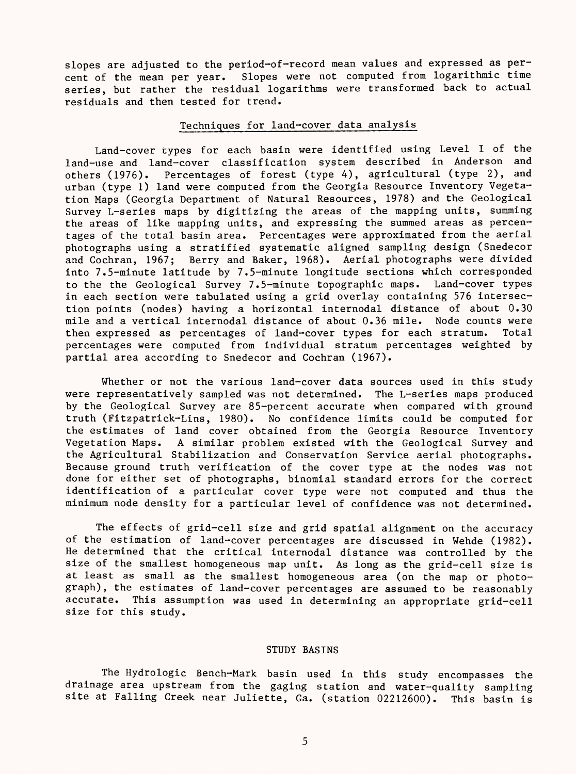slopes are adjusted to the period-of-record mean values and expressed as percent of the mean per year. Slopes were not computed from logarithmic time series, but rather the residual logarithms were transformed back to actual residuals and then tested for trend.

## Techniques for land-cover data analysis

Land-cover types for each basin were identified using Level I of the land-use and land-cover classification system described in Anderson and others (1976). Percentages of forest (type 4), agricultural (type 2), and urban (type 1) land were computed from the Georgia Resource Inventory Vegetation Maps (Georgia Department of Natural Resources, 1978) and the Geological Survey L-series maps by digitizing the areas of the mapping units, summing the areas of like mapping units, and expressing the summed areas as percentages of the total basin area. Percentages were approximated from the aerial photographs using a stratified systematic aligned sampling design (Snedecor and Cochran, 1967; Berry and Baker, 1968). Aerial photographs were divided into 7.5-minute latitude by 7.5-minute longitude sections which corresponded to the the Geological Survey 7.5-minute topographic maps. Land-cover types in each section were tabulated using a grid overlay containing 576 intersection points (nodes) having a horizontal internodal distance of about 0.30 mile and a vertical internodal distance of about 0.36 mile. Node counts were then expressed as percentages of land-cover types for each stratum. Total percentages were computed from individual stratum percentages weighted by partial area according to Snedecor and Cochran (1967).

Whether or not the various land-cover data sources used in this study were representatively sampled was not determined. The L-series maps produced by the Geological Survey are 85-percent accurate when compared with ground truth (Fitzpatrick-Lins, 1980). No confidence limits could be computed for the estimates of land cover obtained from the Georgia Resource Inventory Vegetation Maps. A similar problem existed with the Geological Survey and the Agricultural Stabilization and Conservation Service aerial photographs. Because ground truth verification of the cover type at the nodes was not done for either set of photographs, binomial standard errors for the correct identification of a particular cover type were not computed and thus the minimum node density for a particular level of confidence was not determined.

The effects of grid-cell size and grid spatial alignment on the accuracy of the estimation of land-cover percentages are discussed in Wehde (1982). He determined that the critical internodal distance was controlled by the size of the smallest homogeneous map unit. As long as the grid-cell size is at least as small as the smallest homogeneous area (on the map or photograph), the estimates of land-cover percentages are assumed to be reasonably accurate. This assumption was used in determining an appropriate grid-cell size for this study.

### STUDY BASINS

The Hydrologic Bench-Mark basin used in this study encompasses the drainage area upstream from the gaging station and water-quality sampling site at Falling Creek near Juliette, Ga. (station 02212600). This basin is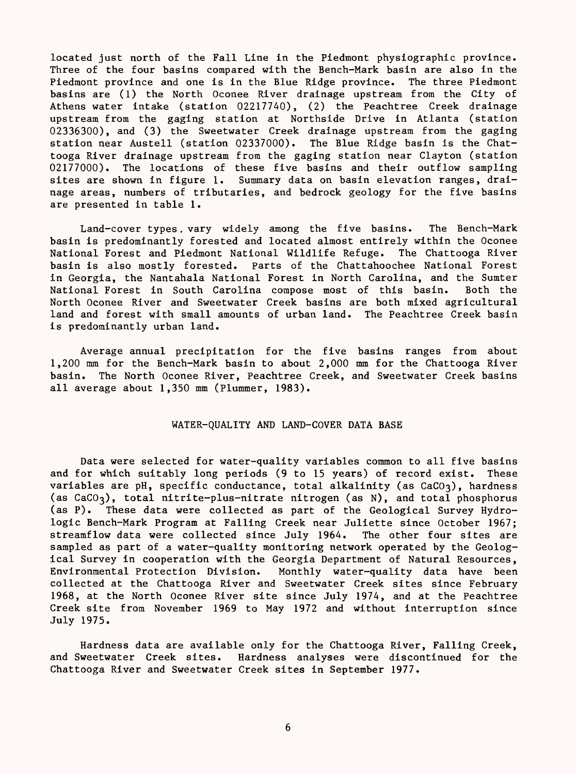located just north of the Fall Line in the Piedmont physiographic province. Three of the four basins compared with the Bench-Mark basin are also in the Piedmont province and one is in the Blue Ridge province. The three Piedmont basins are (1) the North Oconee River drainage upstream from the City of Athens water intake (station 02217740), (2) the Peachtree Creek drainage upstream from the gaging station at Northside Drive in Atlanta (station 02336300), and (3) the Sweetwater Creek drainage upstream from the gaging station near Austell (station 02337000). The Blue Ridge basin is the Chattooga River drainage upstream from the gaging station near Clayton (station 02177000). The locations of these five basins and their outflow sampling sites are shown in figure 1. Summary data on basin elevation ranges, drainage areas, numbers of tributaries, and bedrock geology for the five basins are presented in table 1.

Land-cover types. vary widely among the five basins. The Bench-Mark basin is predominantly forested and located almost entirely within the Oconee National Forest and Piedmont National Wildlife Refuge. The Chattooga River basin is also mostly forested. Parts of the Chattahoochee National Forest in Georgia, the Nantahala National Forest in North Carolina, and the Sumter National Forest in South Carolina compose most of this basin. Both the North Oconee River and Sweetwater Creek basins are both mixed agricultural land and forest with small amounts of urban land. The Peachtree Creek basin is predominantly urban land.

Average annual precipitation for the five basins ranges from about 1,200 mm for the Bench-Mark basin to about 2,000 mm for the Chattooga River basin. The North Oconee River, Peachtree Creek, and Sweetwater Creek basins all average about 1,350 mm (Plummer, 1983).

### WATER-QUALITY AND LAND-COVER DATA BASE

Data were selected for water-quality variables common to all five basins and for which suitably long periods (9 to 15 years) of record exist. These variables are pH, specific conductance, total alkalinity (as CaCO3), hardness (as  $CaCo<sub>3</sub>$ ), total nitrite-plus-nitrate nitrogen (as N), and total phosphorus (as P). These data were collected as part of the Geological Survey Hydrologic Bench-Mark Program at Falling Creek near Juliette since October 1967; streamflow data were collected since July 1964. The other four sites are sampled as part of a water-quality monitoring network operated by the Geological Survey in cooperation with the Georgia Department of Natural Resources, Environmental Protection Division. Monthly water-quality data have been collected at the Chattooga River and Sweetwater Creek sites since February 1968, at the North Oconee River site since July 1974, and at the Peachtree Creek site from November 1969 to May 1972 and without interruption since July 1975.

Hardness data are available only for the Chattooga River, Falling Creek, and Sweetwater Creek sites. Hardness analyses were discontinued for the Chattooga River and Sweetwater Creek sites in September 1977.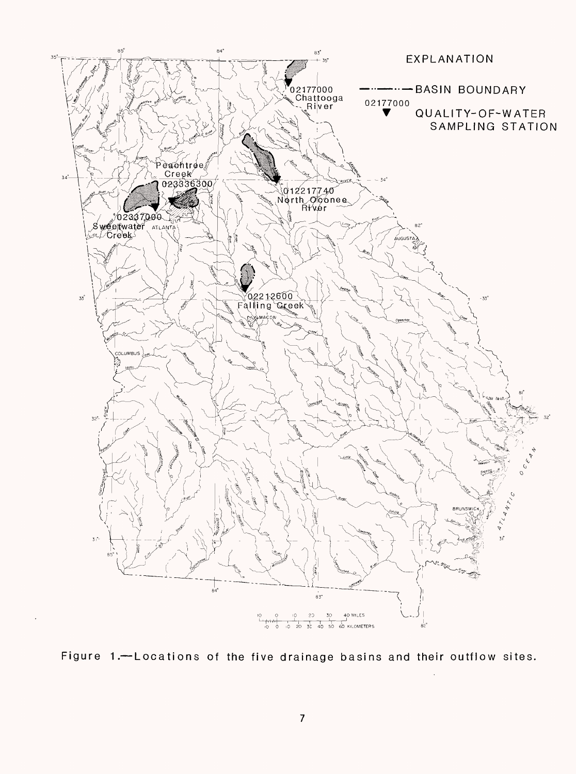

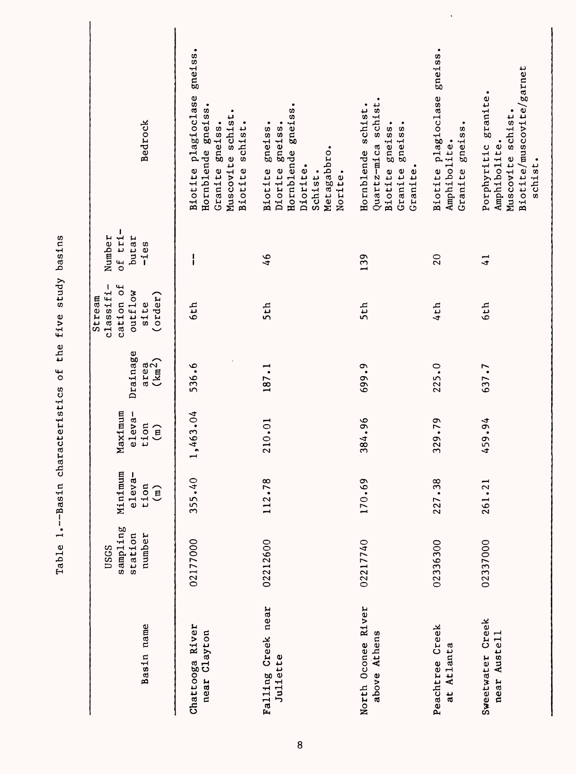| Basin name                         | sampling<br>station<br>number<br>USGS | Minimum<br>eleva-<br>tion<br>$\binom{m}{n}$ | Maximum<br>eleva-<br>tion<br>$\widehat{E}$ | Drainage<br>(km <sup>2</sup> )<br>area | $classif1 -$<br>cation of<br>outflow<br>(order)<br>Stream<br>site | of tri-<br>Number<br>butar<br>$-i$ es | Bedrock                                                                                                        |
|------------------------------------|---------------------------------------|---------------------------------------------|--------------------------------------------|----------------------------------------|-------------------------------------------------------------------|---------------------------------------|----------------------------------------------------------------------------------------------------------------|
| Chattooga River<br>near Clayton    | 02177000                              | 355.40                                      | 1,463.04                                   | 536.6                                  | 6th                                                               | I                                     | gneiss<br>Biotite plagioclase<br>Hornblende gneiss.<br>Muscovite schist.<br>Biotite schist.<br>Granite gneiss. |
| Falling Creek near<br>Juliette     | 02212600                              | 112.78                                      | 210.01                                     | 187.1                                  | 5th                                                               | 46                                    | Hornblende gneiss<br>Biotite gneiss.<br>gneiss.<br>Metagabbro.<br>Diorite.<br>Diorite<br>Schist.<br>Norite.    |
| North Oconee River<br>above Athens | 02217740                              | 170.69                                      | 384.96                                     | 699.9                                  | 5th                                                               | 139                                   | schist.<br>Hornblende schist.<br>gneiss.<br>Biotite gneiss.<br>Quartz-mica<br>Granite.<br>Granite              |
| Peachtree Creek<br>at Atlanta      | 02336300                              | 227.38                                      | 329.79                                     | 225.0                                  | 4th                                                               | 20                                    | gneiss.<br>Biotite plagioclase<br>Granite gneiss.<br>Amphibolite.                                              |
| Sweetwater Creek<br>near Austell   | 02337000                              | 261.21                                      | 459.94                                     | 637.7                                  | 6th                                                               | $\frac{1}{4}$                         | Biotite/muscovite/garnet<br>granite.<br>Muscovite schist.<br>Amphibolite.<br>Porphyritic<br>schist.            |

 $\ddot{\phantom{0}}$ 

Table 1.--Basin characteristics of the five study basins Table 1.--Basin characteristics of the five study basins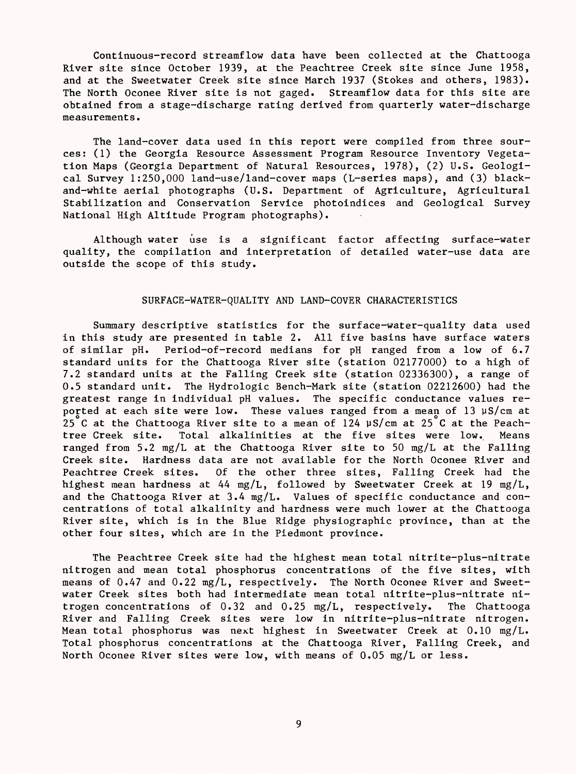Continuous-record streamflow data have been collected at the Chattooga River site since October 1939, at the Peachtree Creek site since June 1958, and at the Sweetwater Creek site since March 1937 (Stokes and others, 1983). The North Oconee River site is not gaged. Streamflow data for this site are obtained from a stage-discharge rating derived from quarterly water-discharge measurements.

The land-cover data used in this report were compiled from three sources: (1) the Georgia Resource Assessment Program Resource Inventory Vegetation Maps (Georgia Department of Natural Resources, 1978), (2) U.S. Geological Survey 1:250,000 land-use/land-cover maps (L-series maps), and (3) blackand-white aerial photographs (U.S. Department of Agriculture, Agricultural Stabilization and Conservation Service photoindices and Geological Survey National High Altitude Program photographs).

Although water use is a significant factor affecting surface-water quality, the compilation and interpretation of detailed water-use data are outside the scope of this study.

#### SURFACE-WATER-QUALITY AND LAND-COVER CHARACTERISTICS

Summary descriptive statistics for the surface-water-quality data used in this study are presented in table 2. All five basins have surface waters of similar pH. Period-of-record medians for pH ranged from a low of 6.7 standard units for the Chattooga River site (station 02177000) to a high of 7.2 standard units at the Falling Creek site (station 02336300), a range of 0.5 standard unit. The Hydrologic Bench-Mark site (station 02212600) had the greatest range in individual pH values. The specific conductance values reported at each site were low. These values ranged from a mean of 13  $\mu$ S/cm at 25°C at the Chattooga River site to a mean of 124  $\mu$ S/cm at 25°C at the Peachtree Creek site. Total alkalinities at the five sites were low. Means ranged from 5.2 mg/L at the Chattooga River site to 50 mg/L at the Falling Creek site. Hardness data are not available for the North Oconee River and Peachtree Creek sites. Of the other three sites, Falling Creek had the highest mean hardness at 44 mg/L, followed by Sweetwater Creek at 19 mg/L, and the Chattooga River at 3.4 mg/L. Values of specific conductance and concentrations of total alkalinity and hardness were much lower at the Chattooga River site, which is in the Blue Ridge physiographic province, than at the other four sites, which are in the Piedmont province.

The Peachtree Creek site had the highest mean total nitrite-plus-nitrate nitrogen and mean total phosphorus concentrations of the five sites, with means of 0.47 and 0.22 mg/L, respectively. The North Oconee River and Sweetwater Creek sites both had intermediate mean total nitrite-plus-nitrate nitrogen concentrations of 0.32 and 0.25 mg/L, respectively. The Chattooga River and Falling Creek sites were low in nitrite-plus-nitrate nitrogen. Mean total phosphorus was next highest in Sweetwater Creek at 0.10 mg/L. Total phosphorus concentrations at the Chattooga River, Falling Creek, and North Oconee River sites were low, with means of 0.05 mg/L or less.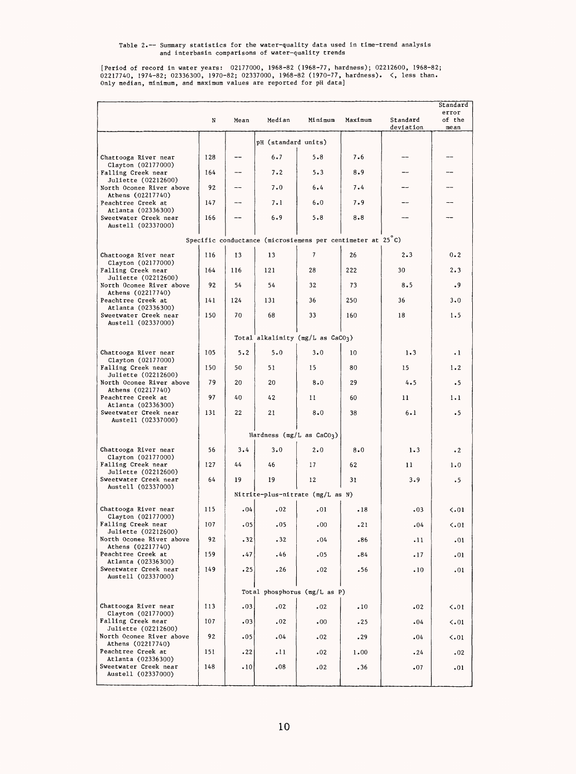[Period of record in water years: 02177000, 1968-82 (1968-77, hardness); 02212600, 1968-82;<br>02217740, 1974-82; 02336300, 1970-82; 02337000, 1968-82 (1970-77, hardness). <, less than.<br>0n1y median, minimum, and maximum val

|                                                                    | N   | Mean    | Median                      | Minimum                                                    | Maximum | Standard<br>deviation | Standard<br>error<br>of the<br>mean |
|--------------------------------------------------------------------|-----|---------|-----------------------------|------------------------------------------------------------|---------|-----------------------|-------------------------------------|
|                                                                    |     |         | pH (standard units)         |                                                            |         |                       |                                     |
| Chattooga River near                                               | 128 |         | 6.7                         | $5 - 8$                                                    | 7.6     |                       |                                     |
| Clayton (02177000)<br>Falling Creek near                           | 164 |         | $7 - 2$                     | 5.3                                                        | 8.9     |                       |                                     |
| Juliette (02212600)<br>North Oconee River above                    | 92  |         | 7.0                         | 6.4                                                        | 7.4     |                       |                                     |
| Athens (02217740)<br>Peachtree Creek at                            | 147 |         | $7 - 1$                     | 6.0                                                        | 7.9     |                       |                                     |
| Atlanta (02336300)<br>Sweetwater Creek near<br>Austell (02337000)  | 166 |         | 6.9                         | 5.8                                                        | 8.8     |                       |                                     |
|                                                                    |     |         |                             | Specific conductance (microsiemens per centimeter at 25°C) |         |                       |                                     |
| Chattooga River near                                               | 116 | 13      | 13                          | 7                                                          | 26      | 2.3                   | $0 - 2$                             |
| Clayton (02177000)<br>Falling Creek near<br>Juliette (02212600)    | 164 | 116     | 121                         | 28                                                         | 222     | 30                    | 2.3                                 |
| North Oconee River above<br>Athens (02217740)                      | 92  | 54      | 54                          | 32                                                         | 73      | 8.5                   | .9                                  |
| Peachtree Creek at<br>Atlanta (02336300)                           | 141 | 124     | 131                         | 36                                                         | 250     | 36                    | $3 - 0$                             |
| Sweetwater Creek near<br>Austell (02337000)                        | 150 | 70      | 68                          | 33                                                         | 160     | 18                    | 1.5                                 |
|                                                                    |     |         |                             | Total alkalinity (mg/L as CaCO3)                           |         |                       |                                     |
| Chattooga River near                                               | 105 | $5 - 2$ | 5.0                         | $3 - 0$                                                    | 10      | $1 - 3$               | $\cdot$ 1                           |
| Clayton (02177000)<br>Falling Creek near                           | 150 | 50      | 51                          | 15                                                         | 80      | 15                    | 1.2                                 |
| Juliette (02212600)<br>North Oconee River above                    | 79  | 20      | 20                          | 8.0                                                        | 29      | 4.5                   | $\cdot$ 5                           |
| Athens (02217740)<br>Peachtree Creek at                            | 97  | 40      | 42                          | 11                                                         | 60      | 11                    | 1.1                                 |
| Atlanta (02336300)<br>Sweetwater Creek near<br>Austell (02337000)  | 131 | 22      | 21                          | $8 - 0$                                                    | 38      | 6.1                   | $\cdot$ 5                           |
|                                                                    |     |         | Hardness (mg/L as $CaCO3$ ) |                                                            |         |                       |                                     |
| Chattooga River near                                               | 56  | 3.4     | 3.0                         | 2.0                                                        | 8.0     | 1.3                   | $\cdot$ 2                           |
| Clayton (02177000)<br>Falling Creek near                           | 127 | 44      | 46                          | 17                                                         | 62      | 11                    | 1.0                                 |
| Juliette (02212600)<br>Sweetwater Creek near<br>Austell (02337000) | 64  | 19      | 19                          | 12                                                         | 31      | 3.9                   | .5                                  |
|                                                                    |     |         |                             | Nitrite-plus-nitrate (mg/L as N)                           |         |                       |                                     |
| Chattooga River near<br>Clayton (02177000)                         | 115 | .04     | .02                         | .01                                                        | .18     | .03                   | < 0.01                              |
| Falling Creek near<br>Juliette (02212600)                          | 107 | .05     | .05                         | .00                                                        | .21     | .04                   | < 01                                |
| North Oconee River above<br>Athens (02217740)                      | 92  | .32     | .32                         | .04                                                        | .86     | .11                   | .01                                 |
| Peachtree Creek at<br>Atlanta (02336300)                           | 159 | .47     | .46                         | .05                                                        | .84     | $\cdot$ 1/            | .01                                 |
| Sweetwater Creek near<br>Austell (02337000)                        | 149 | .25     | .26                         | .02                                                        | .56     | .10                   | .01                                 |
|                                                                    |     |         |                             | Total phosphorus (mg/L as P)                               |         |                       |                                     |
| Chattooga River near<br>Clayton (02177000)                         | 113 | .03     | .02                         | .02                                                        | .10     | .02                   | < 01                                |
| Falling Creek near<br>Juliette (02212600)                          | 107 | .03     | .02                         | .00                                                        | .25     | .04                   | $\langle .01$                       |
| North Oconee River above<br>Athens (02217740)                      | 92  | .05     | .04                         | .02                                                        | .29     | .04                   | $\langle .01$                       |
| Peachtree Creek at<br>Atlanta (02336300)                           | 151 | .22     | $\cdot$ 11                  | .02                                                        | 1.00    | .24                   | .02                                 |
| Sweetwater Creek near<br>Austell (02337000)                        | 148 | .10     | .08                         | .02                                                        | .36     | .07                   | .01                                 |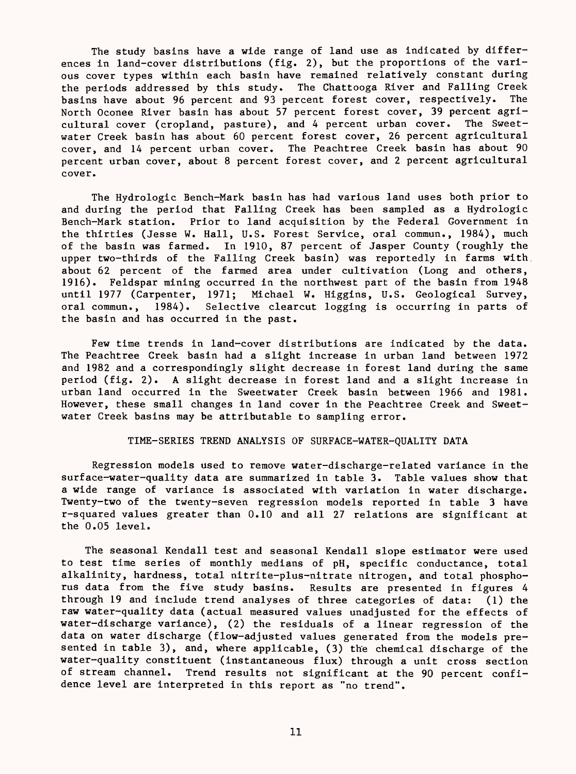The study basins have a wide range of land use as indicated by differences in land-cover distributions (fig. 2), but the proportions of the various cover types within each basin have remained relatively constant during the periods addressed by this study. The Chattooga River and Falling Creek basins have about 96 percent and 93 percent forest cover, respectively. The North Oconee River basin has about 57 percent forest cover, 39 percent agricultural cover (cropland, pasture), and 4 percent urban cover. The Sweetwater Creek basin has about 60 percent forest cover, 26 percent agricultural cover, and 14 percent urban cover. The Peachtree Creek basin has about 90 percent urban cover, about 8 percent forest cover, and 2 percent agricultural cover.

The Hydrologic Bench-Mark basin has had various land uses both prior to and during the period that Falling Creek has been sampled as a Hydrologic Bench-Mark station. Prior to land acquisition by the Federal Government in the thirties (Jesse W. Hall, U.S. Forest Service, oral commun., 1984), much of the basin was farmed. In 1910, 87 percent of Jasper County (roughly the upper two-thirds of the Falling Creek basin) was reportedly in farms with about 62 percent of the farmed area under cultivation (Long and others, 1916). Feldspar mining occurred in the northwest part of the basin from 1948 until 1977 (Carpenter, 1971; Michael W. Higgins, U.S. Geological Survey, oral commun., 1984). Selective clearcut logging is occurring in parts of the basin and has occurred in the past.

Few time trends in land-cover distributions are indicated by the data. The Peachtree Creek basin had a slight increase in urban land between 1972 and 1982 and a correspondingly slight decrease in forest land during the same period (fig. 2). A slight decrease in forest land and a slight increase in urban land occurred in the Sweetwater Creek basin between 1966 and 1981. However, these small changes in land cover in the Peachtree Creek and Sweetwater Creek basins may be attributable to sampling error.

### TIME-SERIES TREND ANALYSIS OF SURFACE-WATER-QUALITY DATA

Regression models used to remove water-discharge-related variance in the surface-water-quality data are summarized in table 3. Table values show that a wide range of variance is associated with variation in water discharge. Twenty-two of the twenty-seven regression models reported in table 3 have r-squared values greater than 0.10 and all 27 relations are significant at the 0.05 level.

The seasonal Kendall test and seasonal Kendall slope estimator were used to test time series of monthly medians of pH, specific conductance, total alkalinity, hardness, total nitrite-plus-nitrate nitrogen, and total phosphorus data from the five study basins. Results are presented in figures 4 through 19 and include trend analyses of three categories of data: (1) the raw water-quality data (actual measured values unadjusted for the effects of water-discharge variance), (2) the residuals of a linear regression of the data on water discharge (flow-adjusted values generated from the models presented in table 3), and, where applicable, (3) the chemical discharge of the water-quality constituent (instantaneous flux) through a unit cross section of stream channel. Trend results not significant at the 90 percent confidence level are interpreted in this report as "no trend".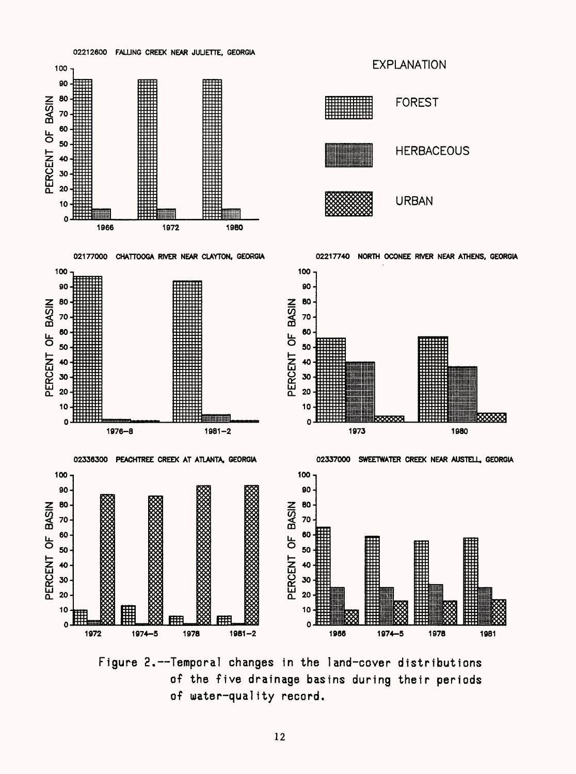

Figure 2.--Temporal changes in the land-cover distributions of the five drainage basins during their periods of water-quality record.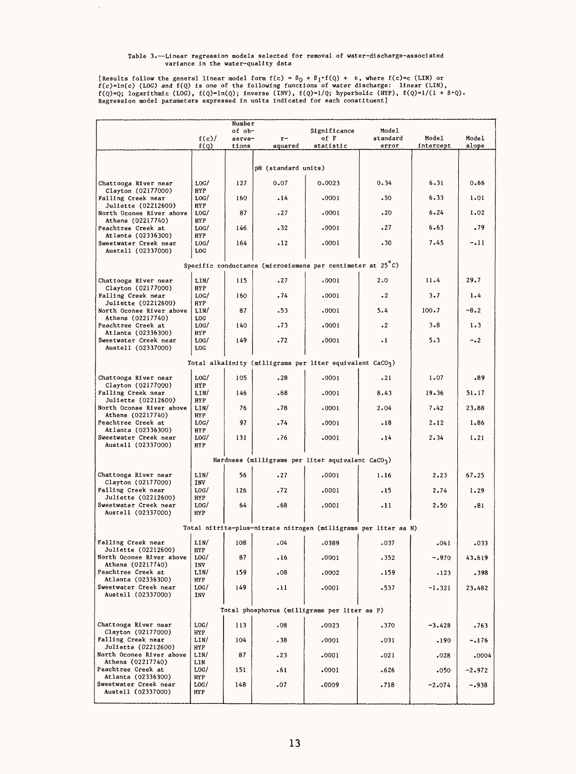# Table 3.--Linear regression models selected for removal of water-discharge-associated<br>variance in the water-quality data

 $\bar{\gamma}$ 

[Results follow the general linear model form  $f(c) = \beta_0 + \beta_1 \cdot f(Q) + \epsilon$ , where  $f(c) = c$  (LIN) or  $f(c) = \ln(c)$  (LOG) and  $f(Q)$  is one of the following functions of water discharge: linear (LIN),  $f(Q) = 0$ ; logarithmic (LOG), f(Q

|                                                                   |                         | Number           |                     |                                                                 |                   |           |          |
|-------------------------------------------------------------------|-------------------------|------------------|---------------------|-----------------------------------------------------------------|-------------------|-----------|----------|
|                                                                   | f(c)/                   | of ob-<br>serva- | $r-$                | Significance<br>of F                                            | Model<br>standard | Model     | Model    |
|                                                                   | f(Q)                    | tions            | squared             | statistic                                                       | error             | intercept | slope    |
|                                                                   |                         |                  | pH (standard units) |                                                                 |                   |           |          |
|                                                                   |                         | 127              | 0.07                | 0.0023                                                          | 0.34              | 6.31      | 0.66     |
| Chattooga River near<br>Clayton (02177000)                        | LOG/<br>HYP             |                  |                     |                                                                 |                   |           |          |
| Falling Creek near                                                | LOG/                    | 160              | $-14$               | .0001                                                           | .50               | 6.33      | 1.01     |
| <b>Juliette (02212600)</b><br>North Oconee River above            | HYP<br>LOG/             | 87               | .27                 | .0001                                                           | .20               | $6 - 24$  | 1,02     |
| Athens (02217740)<br>Peachtree Creek at                           | <b>HYP</b><br>LOG/      | 146              | .32                 | .0001                                                           | .27               | 6.63      | .79      |
| Atlanta (02336300)<br>Sweetwater Creek near<br>Austell (02337000) | HYP<br>LOG/<br>LOG      | 164              | $-12$               | .0001                                                           | .30               | 7.45      | -.11     |
|                                                                   |                         |                  |                     | Specific conductance (microsiemens per centimeter at 25°C)      |                   |           |          |
| Chattooga River near                                              | LIN/                    | 115              | .27                 | .0001                                                           | 2.0               | 11.4      | 29.7     |
| Clayton (02177000)                                                | HYP                     |                  |                     |                                                                 |                   |           |          |
| Falling Creek near<br>Juliette (02212600)                         | LOG/<br>HYP             | 160              | .74                 | .0001                                                           | $\cdot$ 2         | 3.7       | 1.4      |
| North Oconee River above                                          | LIN/                    | 87               | .53                 | .0001                                                           | 5.4               | $100 - 7$ | $-8.2$   |
| Athens (02217740)<br>Peachtree Creek at<br>Atlanta (02336300)     | LOG<br>LOG/<br>HYP      | 140              | .73                 | .0001                                                           | $\cdot$ 2         | 3.8       | 1.3      |
| Sweetwater Creek near<br>Austell (02337000)                       | LOG/<br>$_{\text{LOC}}$ | 149              | .72                 | .0001                                                           | $\cdot$ 1         | 5.3       | $-0.2$   |
|                                                                   |                         |                  |                     | Total alkalinity (milligrams per liter equivalent $CaCO3$ )     |                   |           |          |
| Chattooga River near                                              | LOG/                    | 105              | .28                 | .0001                                                           | .21               | 1.07      | .89      |
| Clayton (02177000)<br>Falling Creek near                          | HYP<br>LIN/             | 146              | .68                 | .0001                                                           | 8.43              | 19.36     | 51,17    |
| <b>Juliette (02212600)</b><br>North Oconee River above            | HYP<br>LIN/             | 76               | .78                 | .0001                                                           | 2.04              | 7.42      | 23.88    |
| Athens (02217740)<br>Peachtree Creek at                           | HYP<br>LOG/             | 97               | .74                 | .0001                                                           | .18               | 2.12      | 1.86     |
| Atlanta (02336300)<br>Sweetwater Creek near<br>Austell (02337000) | HYP<br>LOG/<br>HYP      | 131              | .76                 | .0001                                                           | .14               | 2.34      | 1.21     |
|                                                                   |                         |                  |                     | Hardness (milligrams per liter equivalent $CaCO3$ )             |                   |           |          |
| Chattooga River near                                              | LIN/                    | 56               | .27                 | .0001                                                           | 1.16              | 2,23      | 67.25    |
| Clayton (02177000)                                                | <b>INV</b>              |                  |                     |                                                                 |                   |           |          |
| Falling Creek near<br>Juliette (02212600)                         | LOG/<br>HYP             | 126              | .72                 | .0001                                                           | .15               | 2.74      | 1.29     |
| Sweetwater Creek near<br>Austell (02337000)                       | LOG/<br><b>HYP</b>      | 64               | . 68                | .0001                                                           | .11               | 2.50      | .81      |
|                                                                   |                         |                  |                     | Total nitrite-plus-nitrate nitrogen (milligrams per liter as N) |                   |           |          |
| Falling Creek near                                                | LIN/                    | 108              | .04                 | .0389                                                           | .037              | .041      | .033     |
| Juliette (02212600)<br>North Oconee River above                   | HYP<br>LOG/             | 87               | .16                 | .0001                                                           | -352              | $-.970$   | 43.619   |
| Athens (02217740)<br>Peachtree Creek at<br>Atlanta (02336300)     | INV<br>LIN/             | 159              | .08                 | .0002                                                           | .159              | .123      | .398     |
| Sweetwater Creek near<br>Austell (02337000)                       | HYP<br>LOG/<br>INV      | 149              | .11                 | .0001                                                           | 537ء              | $-1.321$  | 23.482   |
|                                                                   |                         |                  |                     | Total phosphorus (milligrams per liter as P)                    |                   |           |          |
| Chattooga River near                                              | LOG/                    | 113              | .08                 | .0023                                                           | .370              | $-3.428$  | .763     |
| Clayton (02177000)<br>Falling Creek near                          | HYP<br>LIN/             | 104              | .38                 | .0001                                                           | .031              | .190      | $-.176$  |
| Juliette (02212600)<br>North Oconee River above                   | HYP<br>LIN/             | 87               | .23                 | .0001                                                           | .021              | .028      | .0004    |
| Athens (02217740)<br>Peachtree Creek at                           | LIN<br>LOG/             | 151              | .61                 | .0001                                                           | .626              | .050      | $-2.972$ |
| Atlanta (02336300)<br>Sweetwater Creek near                       | HYP<br>LOG/             | 148              | .07                 | .0009                                                           | .718              | $-2.074$  | $-.938$  |
| Austell (02337000)                                                | HYP                     |                  |                     |                                                                 |                   |           |          |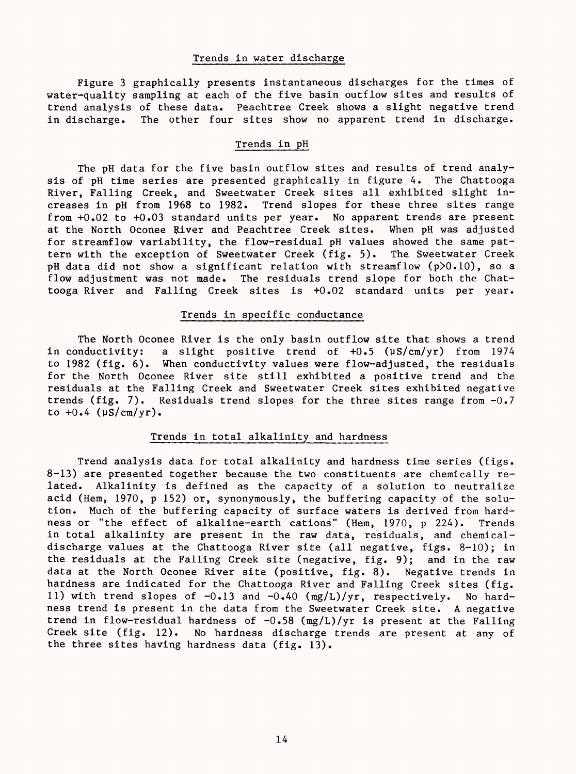## Trends in water discharge

Figure 3 graphically presents instantaneous discharges for the times of water-quality sampling at each of the five basin outflow sites and results of trend analysis of these data. Peachtree Creek shows a slight negative trend in discharge. The other four sites show no apparent trend in discharge.

### Trends in pH

The pH data for the five basin outflow sites and results of trend analysis of pH time series are presented graphically in figure 4. The Chattooga River, Falling Creek, and Sweetwater Creek sites all exhibited slight increases in pH from 1968 to 1982. Trend slopes for these three sites range from +0.02 to +0.03 standard units per year. No apparent trends are present at the North Oconee River and Peachtree Creek sites. When pH was adjusted for streamflow variability, the flow-residual pH values showed the same pattern with the exception of Sweetwater Creek (fig. 5). The Sweetwater Creek pH data did not show a significant relation with streamflow (p>0.10), so a flow adjustment was not made. The residuals trend slope for both the Chattooga River and Falling Creek sites is +0.02 standard units per year.

### Trends in specific conductance

The North Oconee River is the only basin outflow site that shows a trend in conductivity: a slight positive trend of  $+0.5$  ( $\mu$ S/cm/yr) from 1974 to 1982 (fig. 6). When conductivity values were flow-adjusted, the residuals for the North Oconee River site still exhibited a positive trend and the residuals at the Falling Creek and Sweetwater Creek sites exhibited negative trends (fig. 7). Residuals trend slopes for the three sites range from  $-0.7$ to  $+0.4$  ( $\mu$ S/cm/yr).

## Trends in total alkalinity and hardness

Trend analysis data for total alkalinity and hardness time series (figs. 8-13) are presented together because the two constituents are chemically related. Alkalinity is defined as the capacity of a solution to neutralize acid (Hem, 1970, p 152) or, synonymously, the buffering capacity of the solution. Much of the buffering capacity of surface waters is derived from hardness or "the effect of alkaline-earth cations" (Hem, 1970, p 224). Trends in total alkalinity are present in the raw data, residuals, and chemicaldischarge values at the Chattooga River site (all negative, figs. 8-10); in the residuals at the Falling Creek site (negative, fig. 9); and in the raw data at the North Oconee River site (positive, fig. 8). Negative trends in hardness are indicated for the Chattooga River and Falling Creek sites (fig. 11) with trend slopes of -0.13 and -0.40 (mg/L)/yr, respectively. No hardness trend is present in the data from the Sweetwater Creek site. A negative trend in flow-residual hardness of  $-0.58$  (mg/L)/yr is present at the Falling Creek site (fig. 12). No hardness discharge trends are present at any of the three sites having hardness data (fig. 13).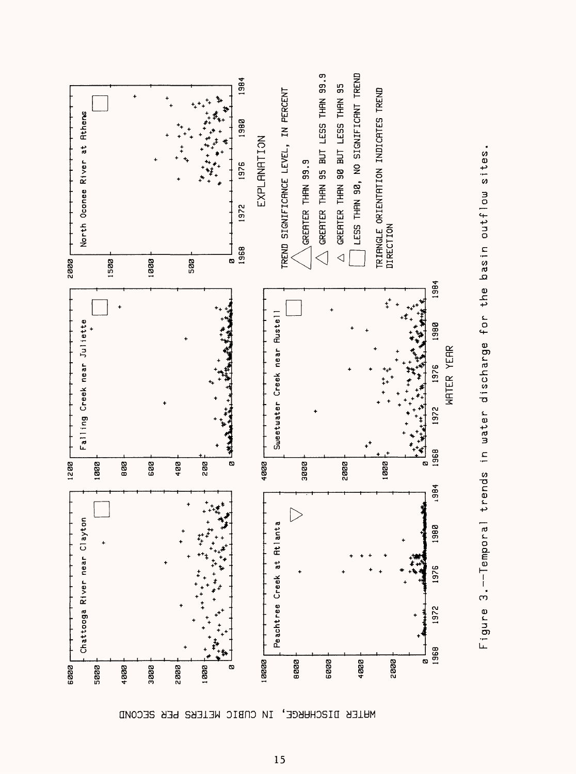



IN CNBIC WELEBS BER SECOND MHTER DISCHHRGE,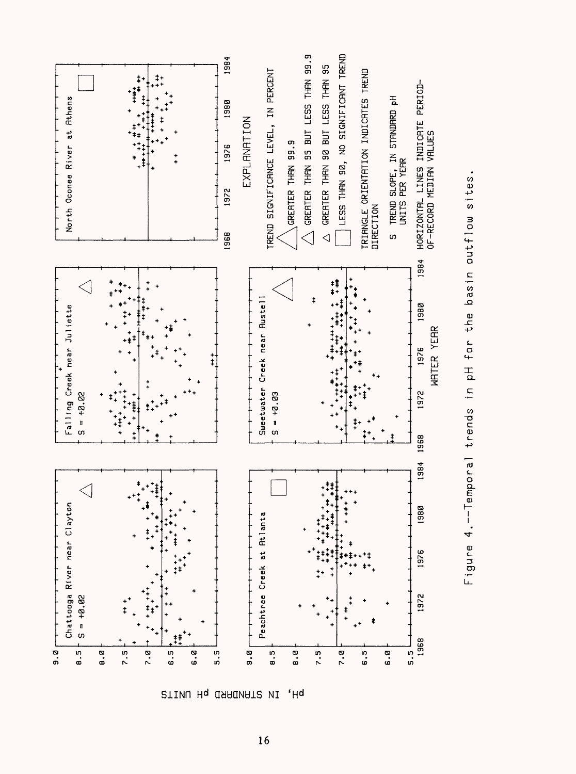

**2TINU Hq OSAGNAT2 VI**  $^{\prime}$ Hd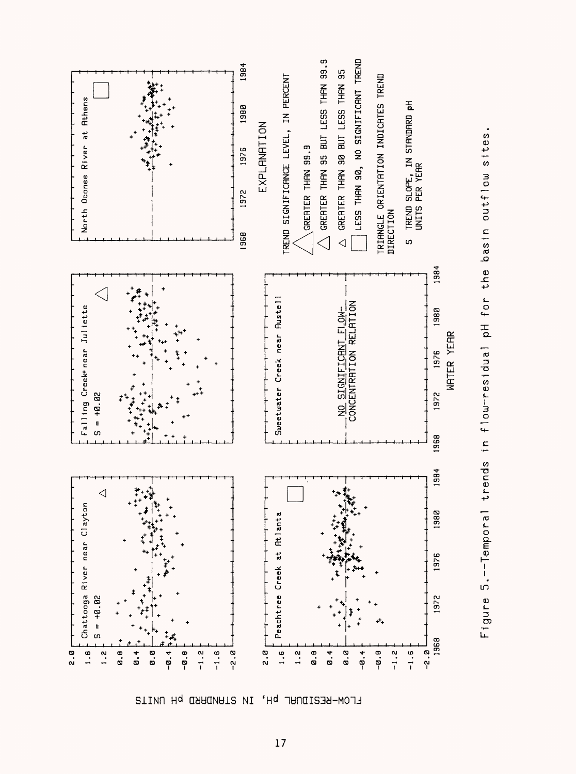

Figure 5.--Temporal trends in flow-residual pH for the basin outflow sites.

FLOW-RESIDURL pH, **STINU Hq OSHONATS VI**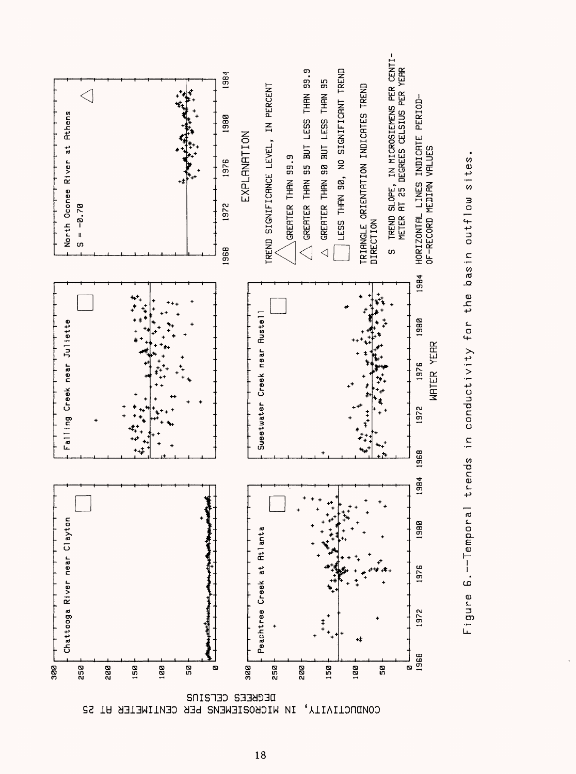

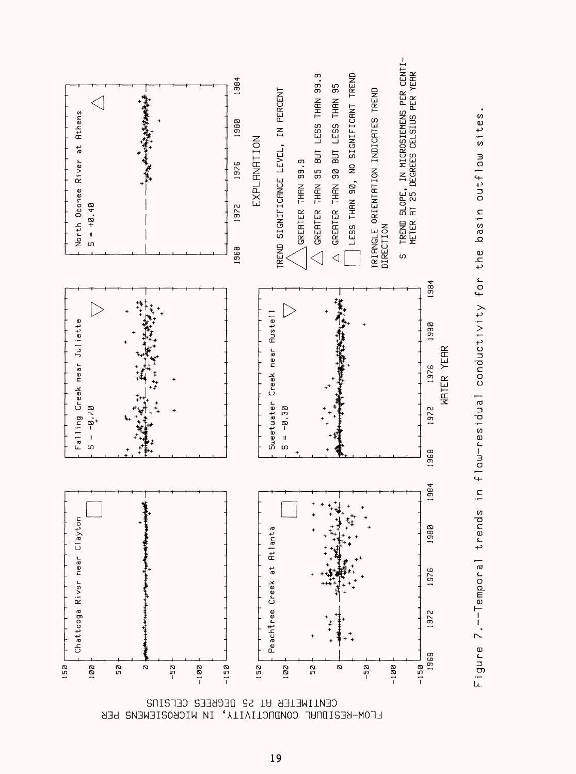



FLOW-RESIDURL CONDUCTIVITY, IN MICROSIEMENS PER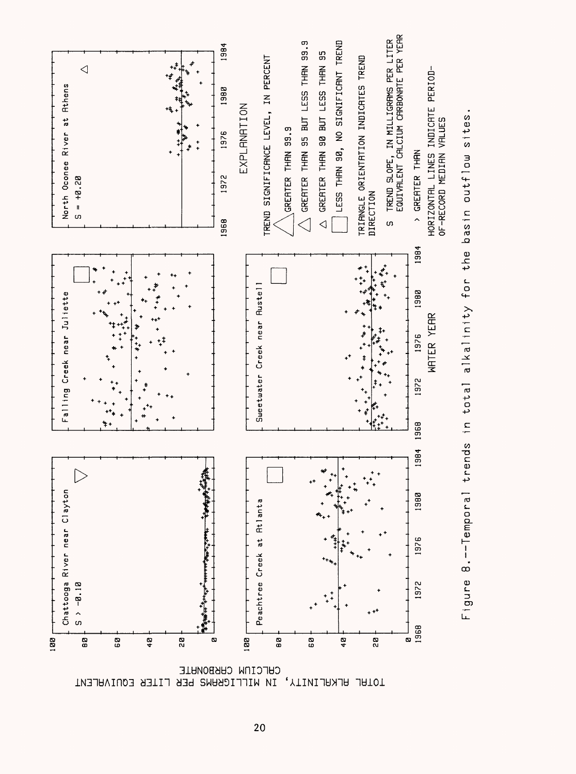

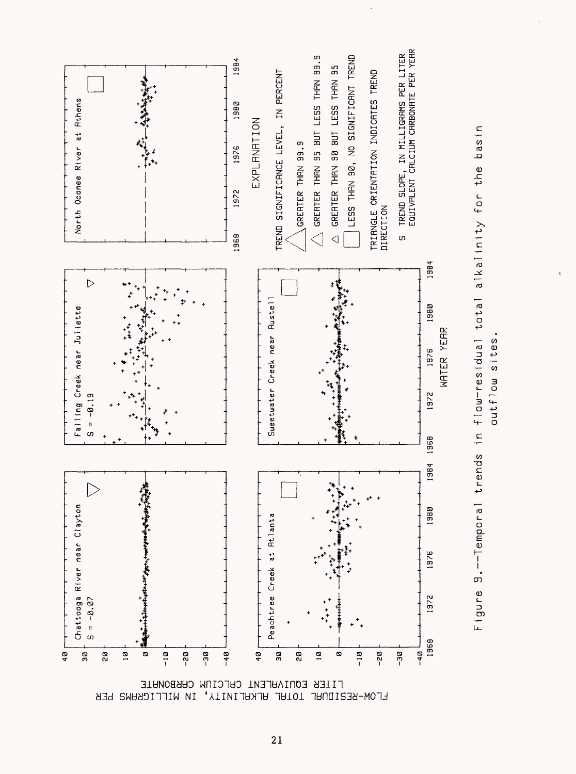

Figure 9.--Temporal trends in flow-residual total alkalinity for the basin

outflow sites

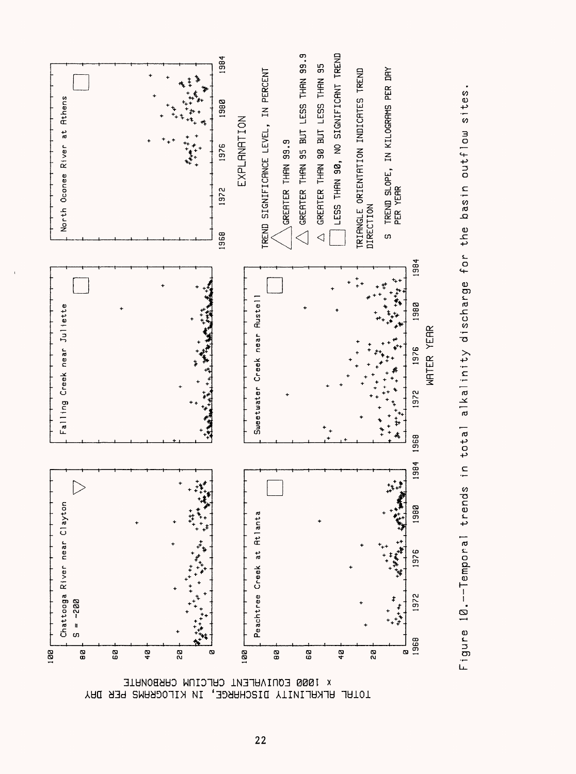

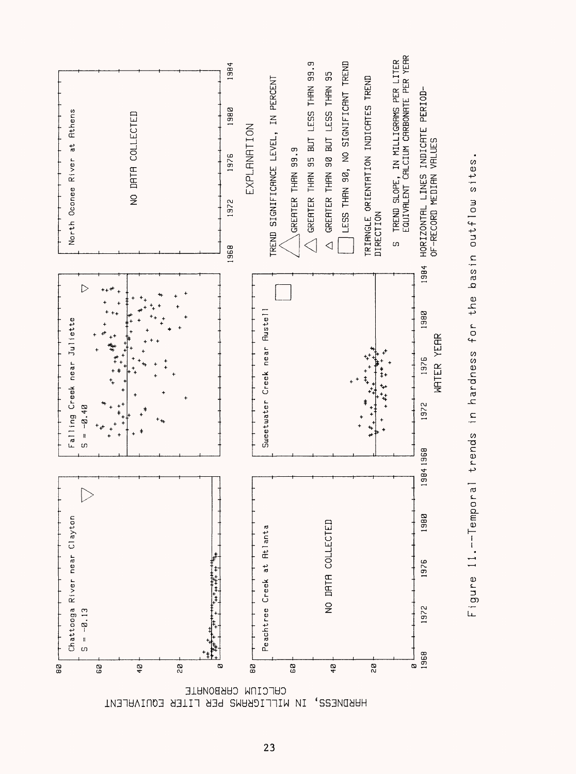

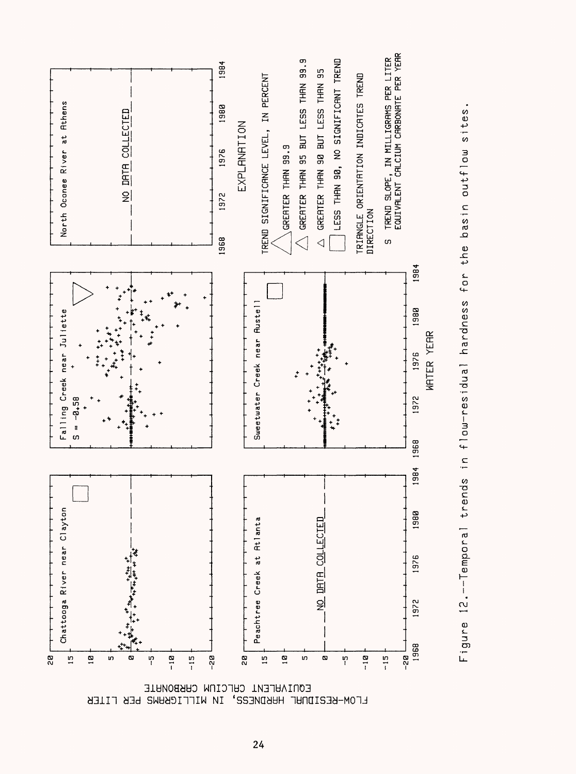

![](_page_28_Figure_1.jpeg)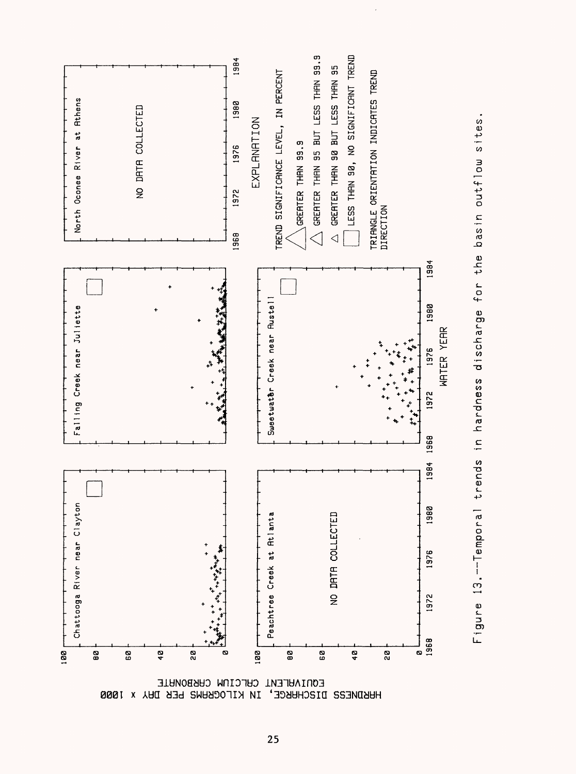![](_page_29_Figure_0.jpeg)

![](_page_29_Figure_1.jpeg)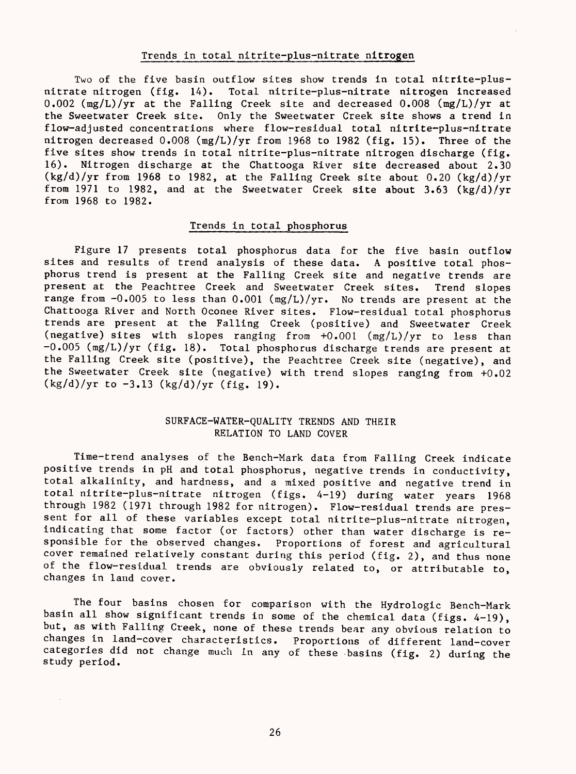#### Trends in total nitrite-plus-nitrate nitrogen

Two of the five basin outflow sites show trends in total nitrite-plusnitrate nitrogen (fig. 14). Total nitrite-plus-nitrate nitrogen increased 0.002 (mg/L)/yr at the Falling Creek site and decreased 0.008 (mg/L)/yr at the Sweetwater Creek site. Only the Sweetwater Creek site shows a trend in flow-adjusted concentrations where flow-residual total nitrite-plus-nitrate nitrogen decreased 0.008 (mg/L)/yr from 1968 to 1982 (fig. 15). Three of the five sites show trends in total nitrite-plus-nitrate nitrogen discharge (fig. 16). Nitrogen discharge at the Chattooga River site decreased about 2.30  $(kg/d)/yr$  from 1968 to 1982, at the Falling Creek site about 0.20  $(kg/d)/yr$ from 1971 to 1982, and at the Sweetwater Creek site about 3.63 (kg/d)/yr from 1968 to 1982.

## Trends in total phosphorus

Figure 17 presents total phosphorus data for the five basin outflow sites and results of trend analysis of these data. A positive total phosphorus trend is present at the Falling Creek site and negative trends are present at the Peachtree Creek and Sweetwater Creek sites. Trend slopes range from -0.005 to less than 0.001 (mg/L)/yr. No trends are present at the Chattooga River and North Oconee River sites. Flow-residual total phosphorus trends are present at the Falling Creek (positive) and Sweetwater Creek (negative) sites with slopes ranging from +0.001 (mg/L)/yr to less than  $-0.005$  (mg/L)/yr (fig. 18). Total phosphorus discharge trends are present at the Falling Creek site (positive), the Peachtree Creek site (negative), and the Sweetwater Creek site (negative) with trend slopes ranging from +0.02  $(kg/d)/yr$  to  $-3.13$   $(kg/d)/yr$  (fig. 19).

### SURFACE-WATER-QUALITY TRENDS AND THEIR RELATION TO LAND COVER

Time-trend analyses of the Bench-Mark data from Falling Creek indicate positive trends in pH and total phosphorus, negative trends in conductivity, total alkalinity, and hardness, and a mixed positive and negative trend in total nitrite-plus-nitrate nitrogen (figs. 4-19) during water years 1968 through 1982 (1971 through 1982 for nitrogen). Flow-residual trends are pressent for all of these variables except total nitrite-plus-nitrate nitrogen, indicating that some factor (or factors) other than water discharge is responsible for the observed changes. Proportions of forest and agricultural cover remained relatively constant during this period (fig. 2), and thus none of the flow-residual trends are obviously related to, or attributable to, changes in land cover.

The four basins chosen for comparison with the Hydrologic Bench-Mark basin all show significant trends in some of the chemical data (figs. 4-19), but, as with Falling Creek, none of these trends bear any obvious relation to changes in land-cover characteristics. Proportions of different land-cover categories did not change much in any of these basins (fig. 2) during the study period.

26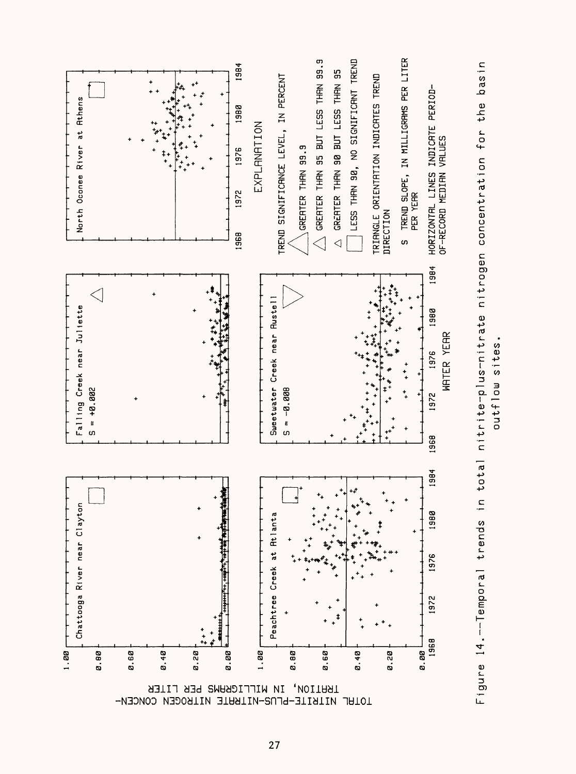![](_page_31_Figure_0.jpeg)

![](_page_31_Figure_1.jpeg)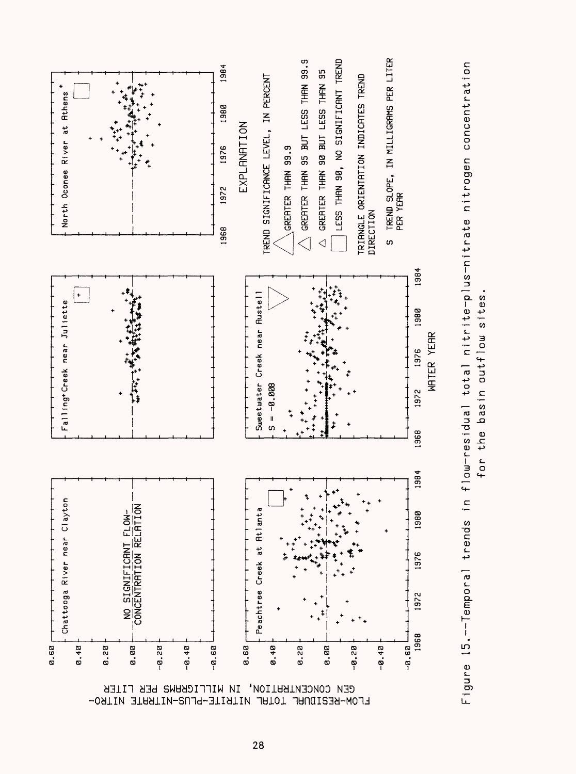![](_page_32_Figure_0.jpeg)

![](_page_32_Figure_1.jpeg)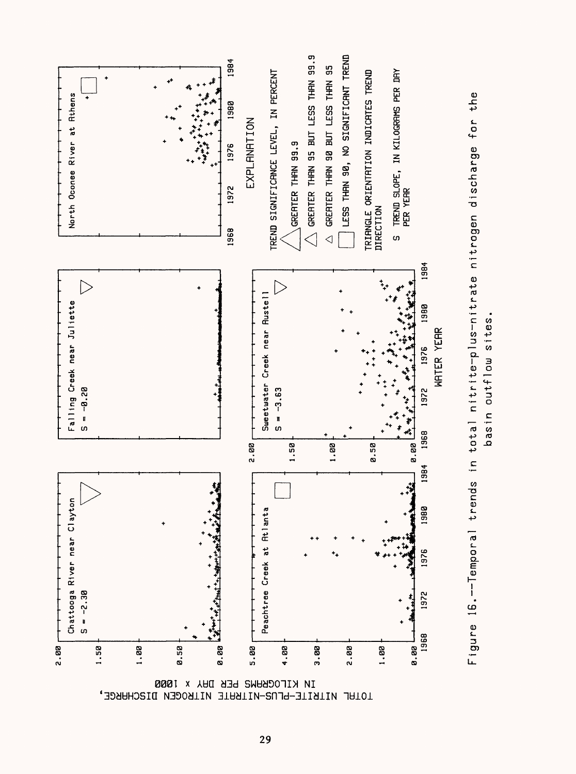![](_page_33_Figure_0.jpeg)

Figure 16.--Temporal trends in total nitrite-plus-nitrate nitrogen discharge for the

basin outflow sites

TOTAL NITRITE-PLUS-NITRATE NITROGEN DISCHARGE,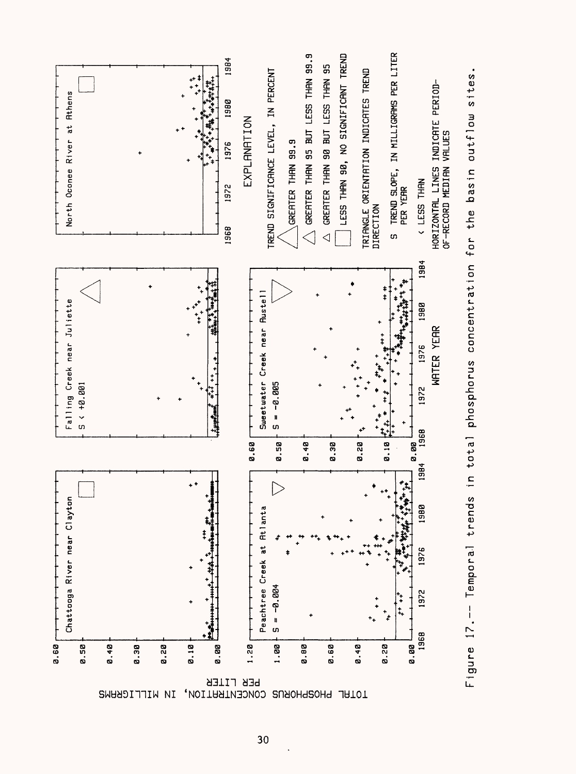![](_page_34_Figure_0.jpeg)

![](_page_34_Figure_1.jpeg)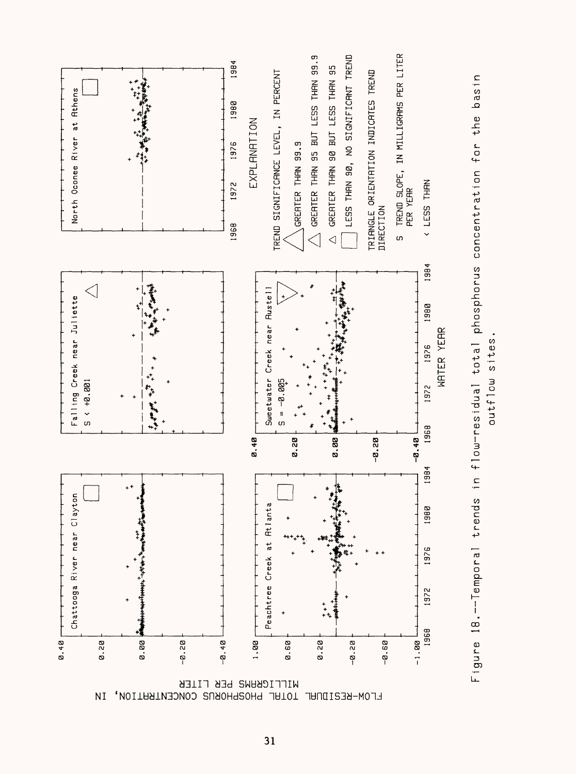![](_page_35_Figure_0.jpeg)

![](_page_35_Figure_1.jpeg)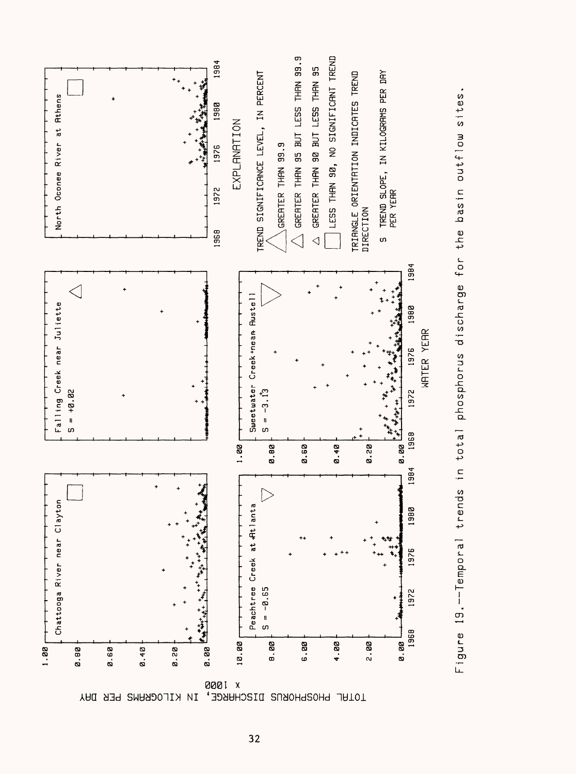![](_page_36_Figure_0.jpeg)

![](_page_36_Figure_1.jpeg)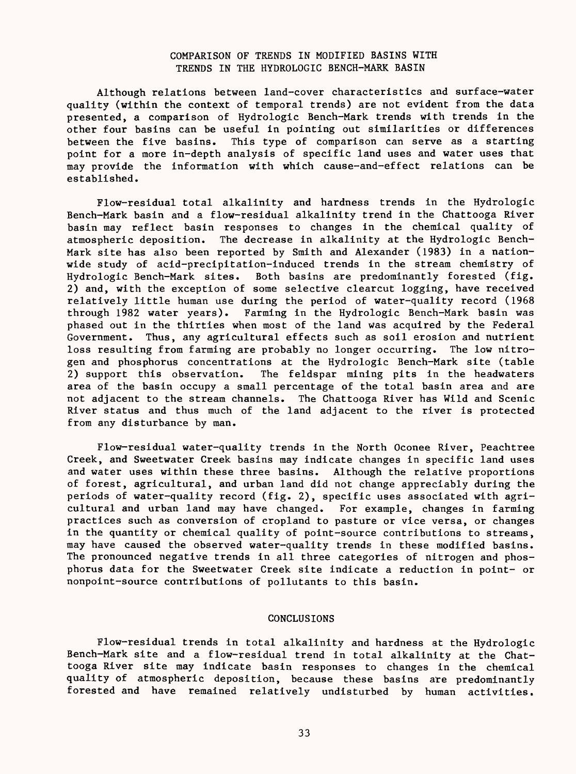## COMPARISON OF TRENDS IN MODIFIED BASINS WITH TRENDS IN THE HYDROLOGIC BENCH-MARK BASIN

Although relations between land-cover characteristics and surface-water quality (within the context of temporal trends) are not evident from the data presented, a comparison of Hydrologic Bench-Mark trends with trends in the other four basins can be useful in pointing out similarities or differences between the five basins. This type of comparison can serve as a starting point for a more in-depth analysis of specific land uses and water uses that may provide the information with which cause-and-effect relations can be established.

Flow-residual total alkalinity and hardness trends in the Hydrologic Bench-Mark basin and a flow-residual alkalinity trend in the Chattooga River basin may reflect basin responses to changes in the chemical quality of atmospheric deposition. The decrease in alkalinity at the Hydrologic Bench-Mark site has also been reported by Smith and Alexander (1983) in a nationwide study of acid-precipitation-induced trends in the stream chemistry of Hydrologic Bench-Mark sites. Both basins are predominantly forested (fig. 2) and, with the exception of some selective clearcut logging, have received relatively little human use during the period of water-quality record (1968 through 1982 water years). Farming in the Hydrologic Bench-Mark basin was phased out in the thirties when most of the land was acquired by the Federal Government. Thus, any agricultural effects such as soil erosion and nutrient loss resulting from farming are probably no longer occurring. The low nitrogen and phosphorus concentrations at the Hydrologic Bench-Mark site (table 2) support this observation. The feldspar mining pits in the headwaters area of the basin occupy a small percentage of the total basin area and are not adjacent to the stream channels. The Chattooga River has Wild and Scenic River status and thus much of the land adjacent to the river is protected from any disturbance by man.

Flow-residual water-quality trends in the North Oconee River, Peachtree Creek, and Sweetwater Creek basins may indicate changes in specific land uses and water uses within these three basins. Although the relative proportions of forest, agricultural, and urban land did not change appreciably during the periods of water-quality record (fig. 2), specific uses associated with agricultural and urban land may have changed. For example, changes in farming practices such as conversion of cropland to pasture or vice versa, or changes in the quantity or chemical quality of point-source contributions to streams, may have caused the observed water-quality trends in these modified basins. The pronounced negative trends in all three categories of nitrogen and phosphorus data for the Sweetwater Creek site indicate a reduction in point- or nonpoint-source contributions of pollutants to this basin.

### CONCLUSIONS

Flow-residual trends in total alkalinity and hardness at the Hydrologic Bench-Mark site and a flow-residual trend in total alkalinity at the Chattooga River site may indicate basin responses to changes in the chemical quality of atmospheric deposition, because these basins are predominantly forested and have remained relatively undisturbed by human activities.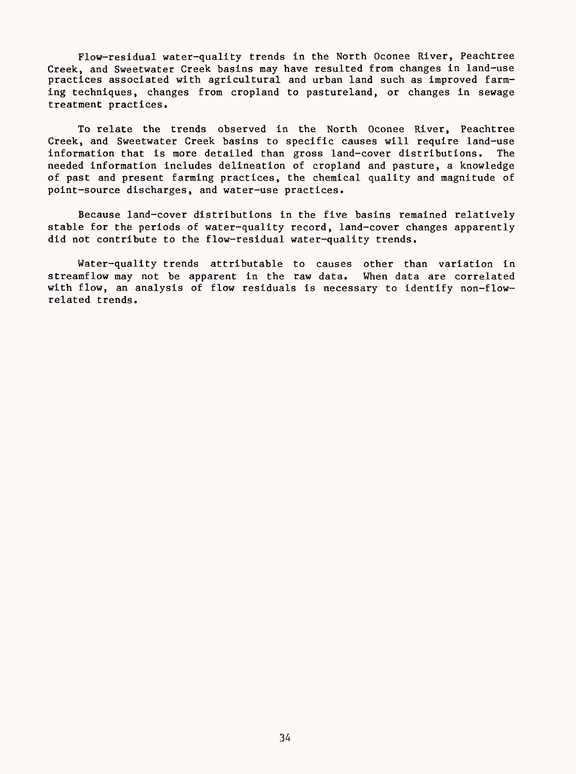Flow-residual water-quality trends in the North Oconee River, Peachtree Creek, and Sweetwater Creek basins may have resulted from changes in land-use practices associated with agricultural and urban land such as improved farming techniques, changes from cropland to pastureland, or changes in sewage treatment practices.

To relate the trends observed in the North Oconee River, Peachtree Creek, and Sweetwater Creek basins to specific causes will require land-use information that is more detailed than gross land-cover distributions. The needed information includes delineation of cropland and pasture, a knowledge of past and present farming practices, the chemical quality and magnitude of point-source discharges, and water-use practices.

Because land-cover distributions in the five basins remained relatively stable for the periods of water-quality record, land-cover changes apparently did not contribute to the flow-residual water-quality trends.

Water-quality trends attributable to causes other than variation in streamflow may not be apparent in the raw data. When data are correlated with flow, an analysis of flow residuals is necessary to identify non-flowrelated trends.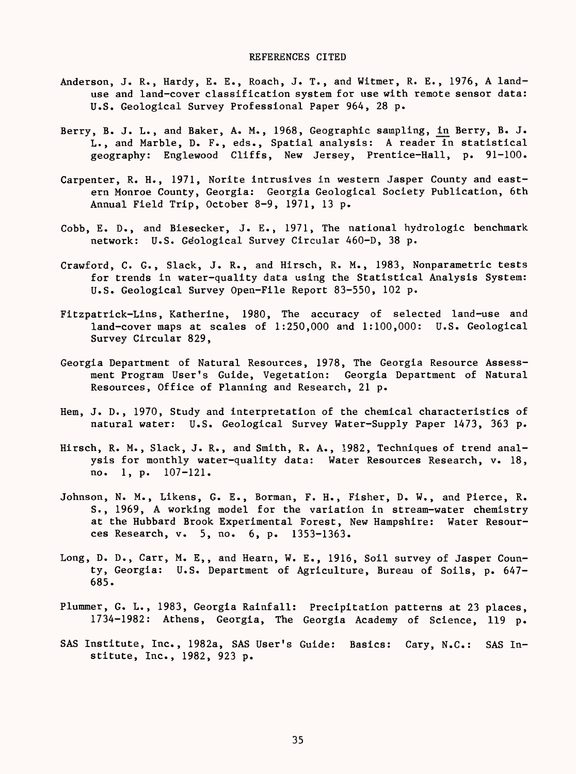- Anderson, J. R., Hardy, E. E., Roach, J. T., and Witmer, R. E., 1976, A landuse and land-cover classification system for use with remote sensor data: U.S. Geological Survey Professional Paper 964, 28 p.
- Berry, B. J. L., and Baker, A. M., 1968, Geographic sampling, in Berry, B. J. L., and Marble, D. F., eds., Spatial analysis: A reader in statistical geography: Englewood Cliffs, New Jersey, Prentice-Hall, p. 91-100.
- Carpenter, R. H., 1971, Norite intrusives in western Jasper County and eastern Monroe County, Georgia: Georgia Geological Society Publication, 6th Annual Field Trip, October 8-9, 1971, 13 p.
- Cobb, E. D., and Biesecker, J. E., 1971, The national hydrologic benchmark network: U.S. Geological Survey Circular 460-D, 38 p.
- Crawford, C. G., Slack, J. R., and Hirsch, R. M., 1983, Nonparametric tests for trends in water-quality data using the Statistical Analysis System: U.S. Geological Survey Open-File Report 83-550, 102 p.
- Fitzpatrick-Lins, Katherine, 1980, The accuracy of selected land-use and land-cover maps at scales of 1:250,000 and 1:100,000: U.S. Geological Survey Circular 829,
- Georgia Department of Natural Resources, 1978, The Georgia Resource Assessment Program User's Guide, Vegetation: Georgia Department of Natural Resources, Office of Planning and Research, 21 p.
- Hem, J. D., 1970, Study and interpretation of the chemical characteristics of natural water: U.S. Geological Survey Water-Supply Paper 1473, 363 p.
- Hirsch, R. M., Slack, J. R., and Smith, R. A., 1982, Techniques of trend analysis for monthly water-quality data: Water Resources Research, v. 18, no. 1, p. 107-121.
- Johnson, N. M., Likens, G. E., Borman, F. H., Fisher, D. W., and Pierce, R. S., 1969, A working model for the variation in stream-water chemistry at the Hubbard Brook Experimental Forest, New Hampshire: Water Resources Research, v. 5, no. 6, p. 1353-1363.
- Long, D. D., Carr, M. E,, and Hearn, W. E., 1916, Soil survey of Jasper County, Georgia: U.S. Department of Agriculture, Bureau of Soils, p. 647- 685.
- Plummer, G. L., 1983, Georgia Rainfall: Precipitation patterns at 23 places, 1734-1982: Athens, Georgia, The Georgia Academy of Science, 119 p.
- SAS Institute, Inc., 1982a, SAS User's Guide: Basics: Gary, N.C.: SAS Institute, Inc., 1982, 923 p.